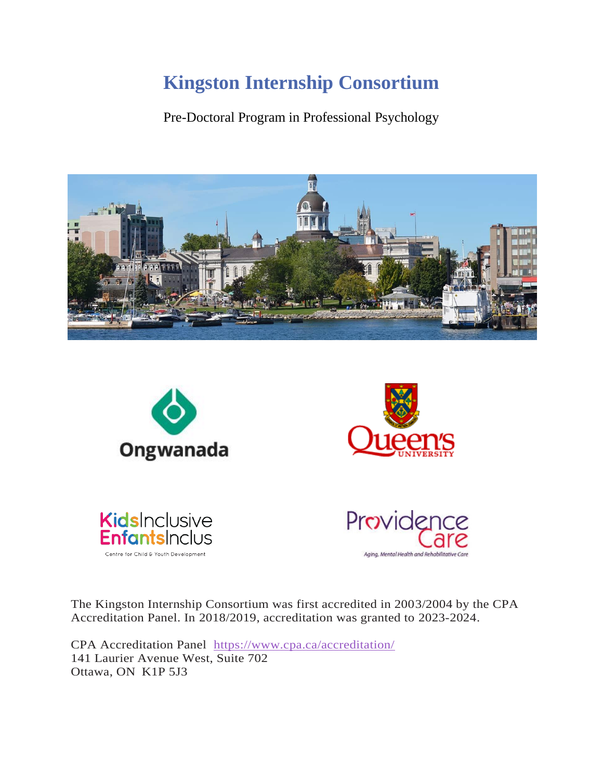Pre-Doctoral Program in Professional Psychology





The Kingston Internship Consortium was first accredited in 2003/2004 by the CPA Accreditation Panel. In 2018/2019, accreditation was granted to 2023-2024.

CPA Accreditation Panel <https://www.cpa.ca/accreditation/> 141 Laurier Avenue West, Suite 702 Ottawa, ON K1P 5J3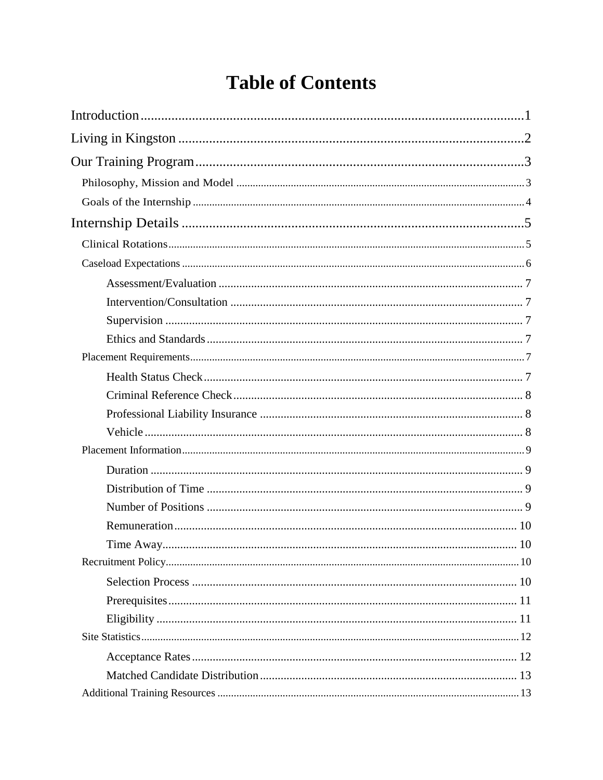# **Table of Contents**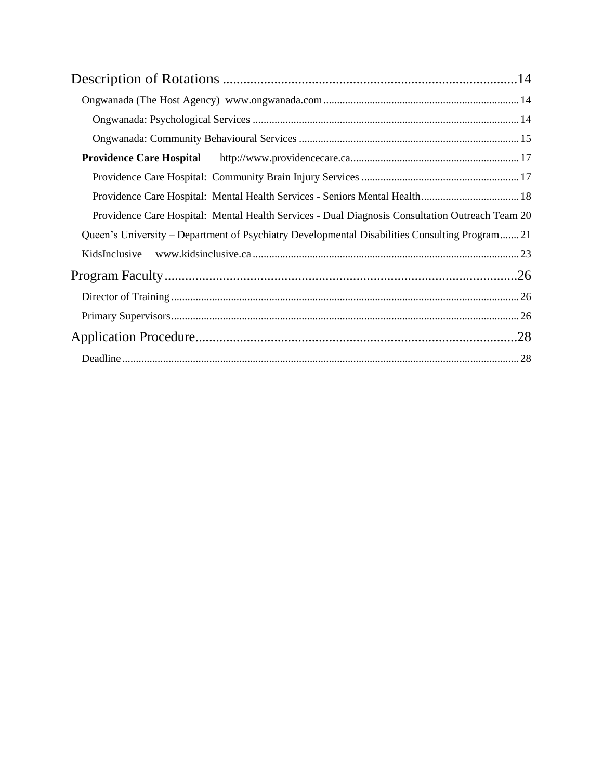| <b>Providence Care Hospital</b>                                                                 |  |
|-------------------------------------------------------------------------------------------------|--|
|                                                                                                 |  |
| Providence Care Hospital: Mental Health Services - Seniors Mental Health 18                     |  |
| Providence Care Hospital: Mental Health Services - Dual Diagnosis Consultation Outreach Team 20 |  |
| Queen's University – Department of Psychiatry Developmental Disabilities Consulting Program21   |  |
| KidsInclusive                                                                                   |  |
|                                                                                                 |  |
|                                                                                                 |  |
|                                                                                                 |  |
|                                                                                                 |  |
|                                                                                                 |  |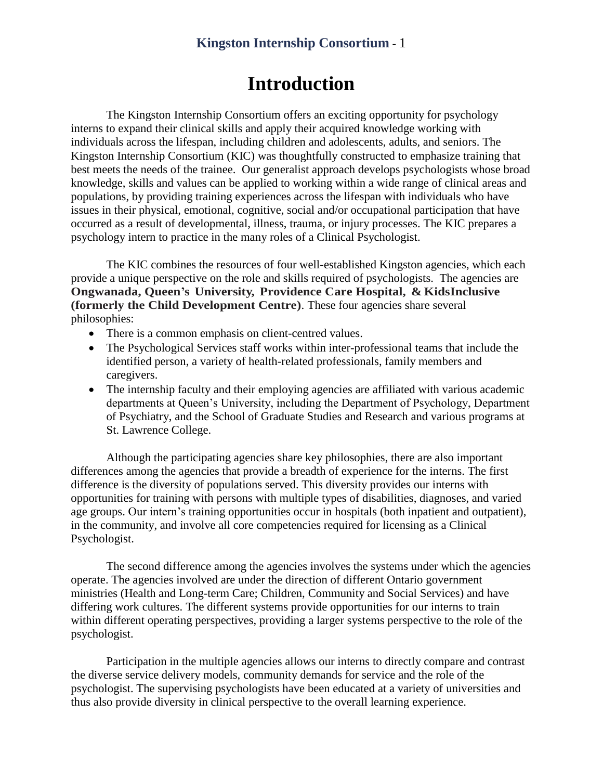## **Introduction**

<span id="page-3-0"></span>The Kingston Internship Consortium offers an exciting opportunity for psychology interns to expand their clinical skills and apply their acquired knowledge working with individuals across the lifespan, including children and adolescents, adults, and seniors. The Kingston Internship Consortium (KIC) was thoughtfully constructed to emphasize training that best meets the needs of the trainee. Our generalist approach develops psychologists whose broad knowledge, skills and values can be applied to working within a wide range of clinical areas and populations, by providing training experiences across the lifespan with individuals who have issues in their physical, emotional, cognitive, social and/or occupational participation that have occurred as a result of developmental, illness, trauma, or injury processes. The KIC prepares a psychology intern to practice in the many roles of a Clinical Psychologist.

The KIC combines the resources of four well-established Kingston agencies, which each provide a unique perspective on the role and skills required of psychologists. The agencies are **Ongwanada, Queen's University, Providence Care Hospital, & KidsInclusive (formerly the Child Development Centre)**. These four agencies share several philosophies:

- There is a common emphasis on client-centred values.
- The Psychological Services staff works within inter-professional teams that include the identified person, a variety of health-related professionals, family members and caregivers.
- The internship faculty and their employing agencies are affiliated with various academic departments at Queen's University, including the Department of Psychology, Department of Psychiatry, and the School of Graduate Studies and Research and various programs at St. Lawrence College.

Although the participating agencies share key philosophies, there are also important differences among the agencies that provide a breadth of experience for the interns. The first difference is the diversity of populations served. This diversity provides our interns with opportunities for training with persons with multiple types of disabilities, diagnoses, and varied age groups. Our intern's training opportunities occur in hospitals (both inpatient and outpatient), in the community, and involve all core competencies required for licensing as a Clinical Psychologist.

The second difference among the agencies involves the systems under which the agencies operate. The agencies involved are under the direction of different Ontario government ministries (Health and Long-term Care; Children, Community and Social Services) and have differing work cultures. The different systems provide opportunities for our interns to train within different operating perspectives, providing a larger systems perspective to the role of the psychologist.

Participation in the multiple agencies allows our interns to directly compare and contrast the diverse service delivery models, community demands for service and the role of the psychologist. The supervising psychologists have been educated at a variety of universities and thus also provide diversity in clinical perspective to the overall learning experience.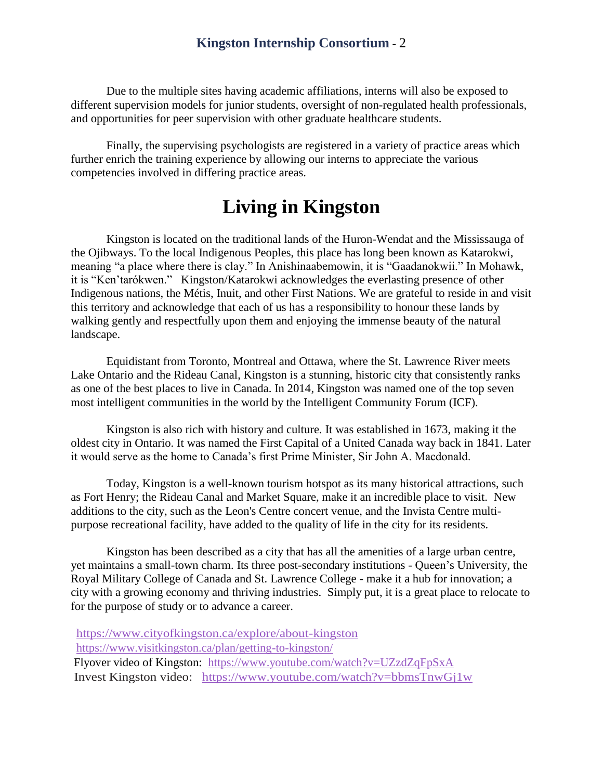Due to the multiple sites having academic affiliations, interns will also be exposed to different supervision models for junior students, oversight of non-regulated health professionals, and opportunities for peer supervision with other graduate healthcare students.

Finally, the supervising psychologists are registered in a variety of practice areas which further enrich the training experience by allowing our interns to appreciate the various competencies involved in differing practice areas.

## **Living in Kingston**

<span id="page-4-0"></span>Kingston is located on the traditional lands of the Huron-Wendat and the Mississauga of the Ojibways. To the local Indigenous Peoples, this place has long been known as Katarokwi, meaning "a place where there is clay." In Anishinaabemowin, it is "Gaadanokwii." In Mohawk, it is "Ken'tarókwen." Kingston/Katarokwi acknowledges the everlasting presence of other Indigenous nations, the Métis, Inuit, and other First Nations. We are grateful to reside in and visit this territory and acknowledge that each of us has a responsibility to honour these lands by walking gently and respectfully upon them and enjoying the immense beauty of the natural landscape.

Equidistant from Toronto, Montreal and Ottawa, where the St. Lawrence River meets Lake Ontario and the Rideau Canal, Kingston is a stunning, historic city that consistently ranks as one of the best places to live in Canada. In 2014, Kingston was named one of the top seven most intelligent communities in the world by the Intelligent Community Forum (ICF).

Kingston is also rich with history and culture. It was established in 1673, making it the oldest city in Ontario. It was named the First Capital of a United Canada way back in 1841. Later it would serve as the home to Canada's first Prime Minister, Sir John A. Macdonald.

Today, Kingston is a well-known tourism hotspot as its many historical attractions, such as Fort Henry; the Rideau Canal and Market Square, make it an incredible place to visit. New additions to the city, such as the Leon's Centre concert venue, and the Invista Centre multipurpose recreational facility, have added to the quality of life in the city for its residents.

Kingston has been described as a city that has all the amenities of a large urban centre, yet maintains a small-town charm. Its three post-secondary institutions - Queen's University, the Royal Military College of Canada and St. Lawrence College - make it a hub for innovation; a city with a growing economy and thriving industries. Simply put, it is a great place to relocate to for the purpose of study or to advance a career.

<https://www.cityofkingston.ca/explore/about-kingston> <https://www.visitkingston.ca/plan/getting-to-kingston/> Flyover video of Kingston: <https://www.youtube.com/watch?v=UZzdZqFpSxA> Invest Kingston video: <https://www.youtube.com/watch?v=bbmsTnwGj1w>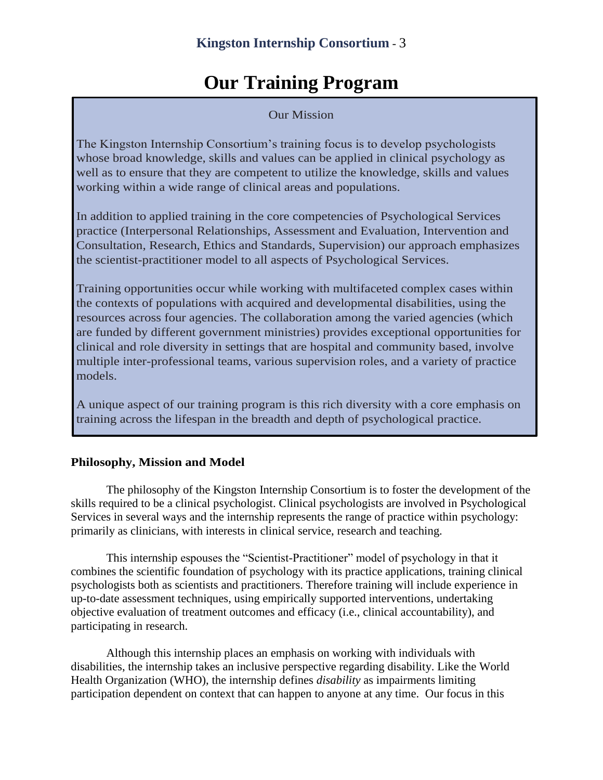## **Our Training Program**

Our Mission

<span id="page-5-0"></span>The Kingston Internship Consortium's training focus is to develop psychologists whose broad knowledge, skills and values can be applied in clinical psychology as well as to ensure that they are competent to utilize the knowledge, skills and values working within a wide range of clinical areas and populations.

In addition to applied training in the core competencies of Psychological Services practice (Interpersonal Relationships, Assessment and Evaluation, Intervention and Consultation, Research, Ethics and Standards, Supervision) our approach emphasizes the scientist-practitioner model to all aspects of Psychological Services.

Training opportunities occur while working with multifaceted complex cases within the contexts of populations with acquired and developmental disabilities, using the resources across four agencies. The collaboration among the varied agencies (which are funded by different government ministries) provides exceptional opportunities for clinical and role diversity in settings that are hospital and community based, involve multiple inter-professional teams, various supervision roles, and a variety of practice models.

A unique aspect of our training program is this rich diversity with a core emphasis on training across the lifespan in the breadth and depth of psychological practice.

#### <span id="page-5-1"></span>**Philosophy, Mission and Model**

The philosophy of the Kingston Internship Consortium is to foster the development of the skills required to be a clinical psychologist. Clinical psychologists are involved in Psychological Services in several ways and the internship represents the range of practice within psychology: primarily as clinicians, with interests in clinical service, research and teaching.

This internship espouses the "Scientist-Practitioner" model of psychology in that it combines the scientific foundation of psychology with its practice applications, training clinical psychologists both as scientists and practitioners. Therefore training will include experience in up-to-date assessment techniques, using empirically supported interventions, undertaking objective evaluation of treatment outcomes and efficacy (i.e., clinical accountability), and participating in research.

Although this internship places an emphasis on working with individuals with disabilities, the internship takes an inclusive perspective regarding disability. Like the World Health Organization (WHO), the internship defines *disability* as impairments limiting participation dependent on context that can happen to anyone at any time. Our focus in this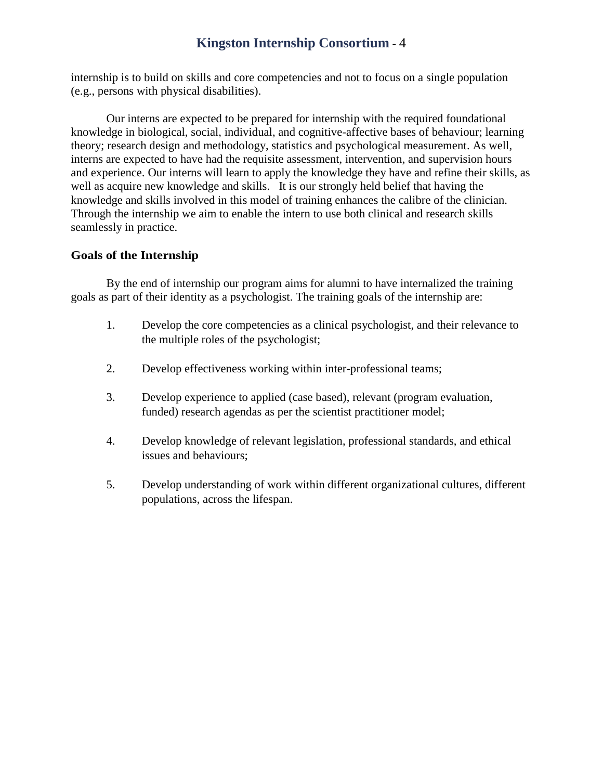internship is to build on skills and core competencies and not to focus on a single population (e.g., persons with physical disabilities).

Our interns are expected to be prepared for internship with the required foundational knowledge in biological, social, individual, and cognitive-affective bases of behaviour; learning theory; research design and methodology, statistics and psychological measurement. As well, interns are expected to have had the requisite assessment, intervention, and supervision hours and experience. Our interns will learn to apply the knowledge they have and refine their skills, as well as acquire new knowledge and skills. It is our strongly held belief that having the knowledge and skills involved in this model of training enhances the calibre of the clinician. Through the internship we aim to enable the intern to use both clinical and research skills seamlessly in practice.

#### <span id="page-6-0"></span>**Goals of the Internship**

By the end of internship our program aims for alumni to have internalized the training goals as part of their identity as a psychologist. The training goals of the internship are:

- 1. Develop the core competencies as a clinical psychologist, and their relevance to the multiple roles of the psychologist;
- 2. Develop effectiveness working within inter-professional teams;
- 3. Develop experience to applied (case based), relevant (program evaluation, funded) research agendas as per the scientist practitioner model;
- 4. Develop knowledge of relevant legislation, professional standards, and ethical issues and behaviours;
- 5. Develop understanding of work within different organizational cultures, different populations, across the lifespan.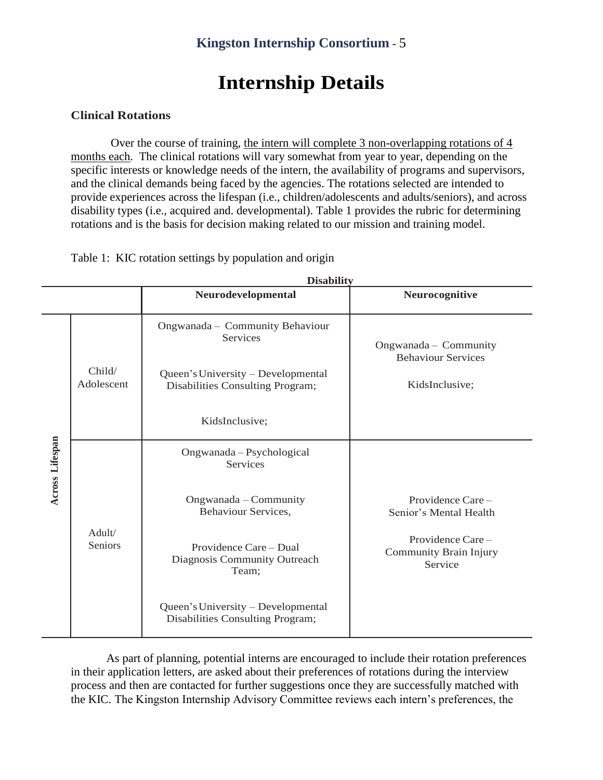## **Internship Details**

#### <span id="page-7-1"></span><span id="page-7-0"></span>**Clinical Rotations**

Over the course of training, the intern will complete 3 non-overlapping rotations of 4 months each. The clinical rotations will vary somewhat from year to year, depending on the specific interests or knowledge needs of the intern, the availability of programs and supervisors, and the clinical demands being faced by the agencies. The rotations selected are intended to provide experiences across the lifespan (i.e., children/adolescents and adults/seniors), and across disability types (i.e., acquired and. developmental). Table 1 provides the rubric for determining rotations and is the basis for decision making related to our mission and training model.

**Disability**

Table 1: KIC rotation settings by population and origin

|                 | <b>Disability</b>    |                                                                        |                                                       |  |
|-----------------|----------------------|------------------------------------------------------------------------|-------------------------------------------------------|--|
|                 |                      | Neurodevelopmental                                                     | Neurocognitive                                        |  |
| Across Lifespan |                      | Ongwanada - Community Behaviour<br><b>Services</b>                     | Ongwanada - Community<br><b>Behaviour Services</b>    |  |
|                 | Child/<br>Adolescent | Queen's University - Developmental<br>Disabilities Consulting Program; | KidsInclusive;                                        |  |
|                 |                      | KidsInclusive;                                                         |                                                       |  |
|                 | Adult/<br>Seniors    | Ongwanada - Psychological<br>Services                                  |                                                       |  |
|                 |                      | Ongwanada - Community<br>Behaviour Services,                           | Providence Care -<br>Senior's Mental Health           |  |
|                 |                      | Providence Care – Dual<br>Diagnosis Community Outreach<br>Team;        | Providence Care-<br>Community Brain Injury<br>Service |  |
|                 |                      | Queen's University – Developmental<br>Disabilities Consulting Program; |                                                       |  |

As part of planning, potential interns are encouraged to include their rotation preferences in their application letters, are asked about their preferences of rotations during the interview process and then are contacted for further suggestions once they are successfully matched with the KIC. The Kingston Internship Advisory Committee reviews each intern's preferences, the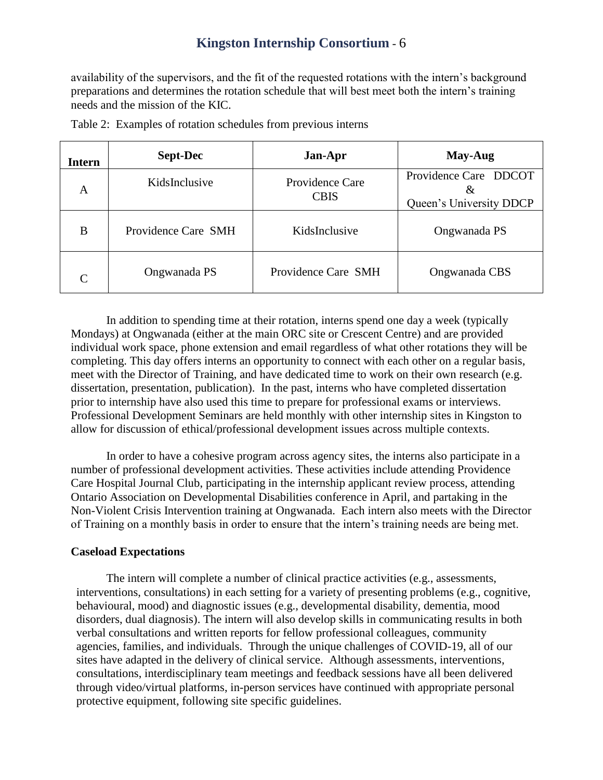availability of the supervisors, and the fit of the requested rotations with the intern's background preparations and determines the rotation schedule that will best meet both the intern's training needs and the mission of the KIC.

| Intern | <b>Sept-Dec</b>     | Jan-Apr                               | May-Aug                                                      |
|--------|---------------------|---------------------------------------|--------------------------------------------------------------|
| A      | KidsInclusive       | <b>Providence Care</b><br><b>CBIS</b> | Providence Care DDCOT<br>$\alpha$<br>Queen's University DDCP |
| B      | Providence Care SMH | KidsInclusive                         | Ongwanada PS                                                 |
| C      | Ongwanada PS        | Providence Care SMH                   | Ongwanada CBS                                                |

Table 2: Examples of rotation schedules from previous interns

In addition to spending time at their rotation, interns spend one day a week (typically Mondays) at Ongwanada (either at the main ORC site or Crescent Centre) and are provided individual work space, phone extension and email regardless of what other rotations they will be completing. This day offers interns an opportunity to connect with each other on a regular basis, meet with the Director of Training, and have dedicated time to work on their own research (e.g. dissertation, presentation, publication). In the past, interns who have completed dissertation prior to internship have also used this time to prepare for professional exams or interviews. Professional Development Seminars are held monthly with other internship sites in Kingston to allow for discussion of ethical/professional development issues across multiple contexts.

In order to have a cohesive program across agency sites, the interns also participate in a number of professional development activities. These activities include attending Providence Care Hospital Journal Club, participating in the internship applicant review process, attending Ontario Association on Developmental Disabilities conference in April, and partaking in the Non-Violent Crisis Intervention training at Ongwanada. Each intern also meets with the Director of Training on a monthly basis in order to ensure that the intern's training needs are being met.

#### <span id="page-8-0"></span>**Caseload Expectations**

The intern will complete a number of clinical practice activities (e.g., assessments, interventions, consultations) in each setting for a variety of presenting problems (e.g., cognitive, behavioural, mood) and diagnostic issues (e.g., developmental disability, dementia, mood disorders, dual diagnosis). The intern will also develop skills in communicating results in both verbal consultations and written reports for fellow professional colleagues, community agencies, families, and individuals. Through the unique challenges of COVID-19, all of our sites have adapted in the delivery of clinical service. Although assessments, interventions, consultations, interdisciplinary team meetings and feedback sessions have all been delivered through video/virtual platforms, in-person services have continued with appropriate personal protective equipment, following site specific guidelines.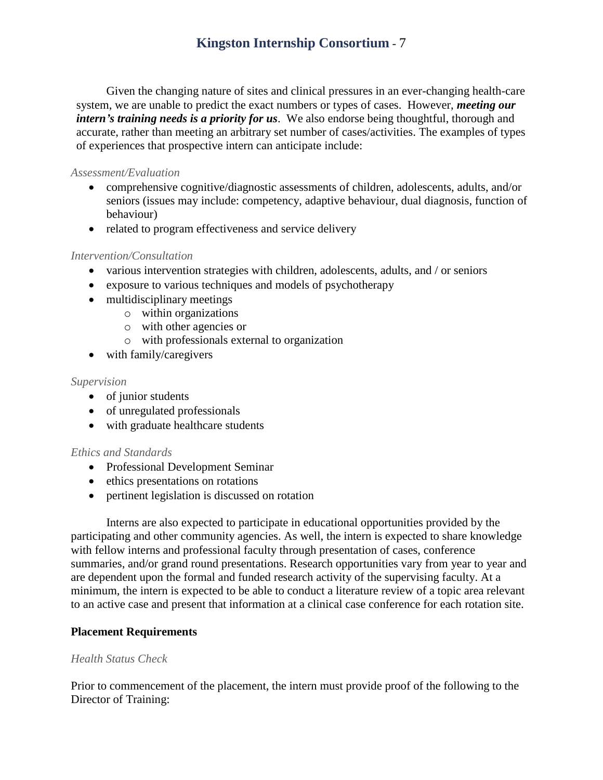Given the changing nature of sites and clinical pressures in an ever-changing health-care system, we are unable to predict the exact numbers or types of cases. However, *meeting our intern's training needs is a priority for us*. We also endorse being thoughtful, thorough and accurate, rather than meeting an arbitrary set number of cases/activities. The examples of types of experiences that prospective intern can anticipate include:

#### <span id="page-9-0"></span>*Assessment/Evaluation*

- comprehensive cognitive/diagnostic assessments of children, adolescents, adults, and/or seniors (issues may include: competency, adaptive behaviour, dual diagnosis, function of behaviour)
- related to program effectiveness and service delivery

#### <span id="page-9-1"></span>*Intervention/Consultation*

- various intervention strategies with children, adolescents, adults, and / or seniors
- exposure to various techniques and models of psychotherapy
- multidisciplinary meetings
	- o within organizations
	- o with other agencies or
	- o with professionals external to organization
- with family/caregivers

#### <span id="page-9-2"></span>*Supervision*

- of junior students
- of unregulated professionals
- with graduate healthcare students

#### <span id="page-9-3"></span>*Ethics and Standards*

- Professional Development Seminar
- ethics presentations on rotations
- pertinent legislation is discussed on rotation

Interns are also expected to participate in educational opportunities provided by the participating and other community agencies. As well, the intern is expected to share knowledge with fellow interns and professional faculty through presentation of cases, conference summaries, and/or grand round presentations. Research opportunities vary from year to year and are dependent upon the formal and funded research activity of the supervising faculty. At a minimum, the intern is expected to be able to conduct a literature review of a topic area relevant to an active case and present that information at a clinical case conference for each rotation site.

#### <span id="page-9-4"></span>**Placement Requirements**

#### <span id="page-9-5"></span>*Health Status Check*

Prior to commencement of the placement, the intern must provide proof of the following to the Director of Training: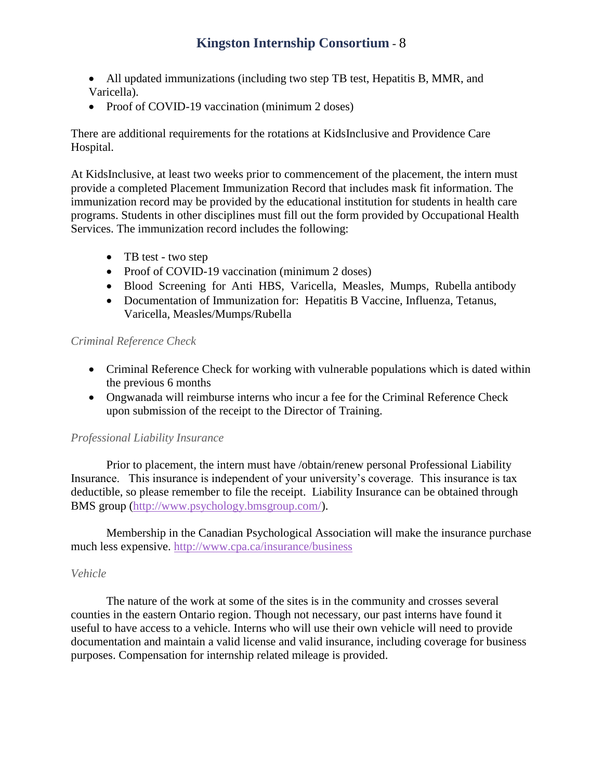- All updated immunizations (including two step TB test, Hepatitis B, MMR, and Varicella).
- Proof of COVID-19 vaccination (minimum 2 doses)

There are additional requirements for the rotations at KidsInclusive and Providence Care Hospital.

At KidsInclusive, at least two weeks prior to commencement of the placement, the intern must provide a completed Placement Immunization Record that includes mask fit information. The immunization record may be provided by the educational institution for students in health care programs. Students in other disciplines must fill out the form provided by Occupational Health Services. The immunization record includes the following:

- TB test two step
- Proof of COVID-19 vaccination (minimum 2 doses)
- Blood Screening for Anti HBS, Varicella, Measles, Mumps, Rubella antibody
- Documentation of Immunization for: Hepatitis B Vaccine, Influenza, Tetanus, Varicella, Measles/Mumps/Rubella

#### <span id="page-10-0"></span>*Criminal Reference Check*

- Criminal Reference Check for working with vulnerable populations which is dated within the previous 6 months
- Ongwanada will reimburse interns who incur a fee for the Criminal Reference Check upon submission of the receipt to the Director of Training.

#### <span id="page-10-1"></span>*Professional Liability Insurance*

Prior to placement, the intern must have /obtain/renew personal Professional Liability Insurance. This insurance is independent of your university's coverage. This insurance is tax deductible, so please remember to file the receipt. Liability Insurance can be obtained through BMS group [\(http://www.psychology.bmsgroup.com/\)](http://www.psychology.bmsgroup.com/).

Membership in the Canadian Psychological Association will make the insurance purchase much less expensive. <http://www.cpa.ca/insurance/business>

#### <span id="page-10-2"></span>*Vehicle*

The nature of the work at some of the sites is in the community and crosses several counties in the eastern Ontario region. Though not necessary, our past interns have found it useful to have access to a vehicle. Interns who will use their own vehicle will need to provide documentation and maintain a valid license and valid insurance, including coverage for business purposes. Compensation for internship related mileage is provided.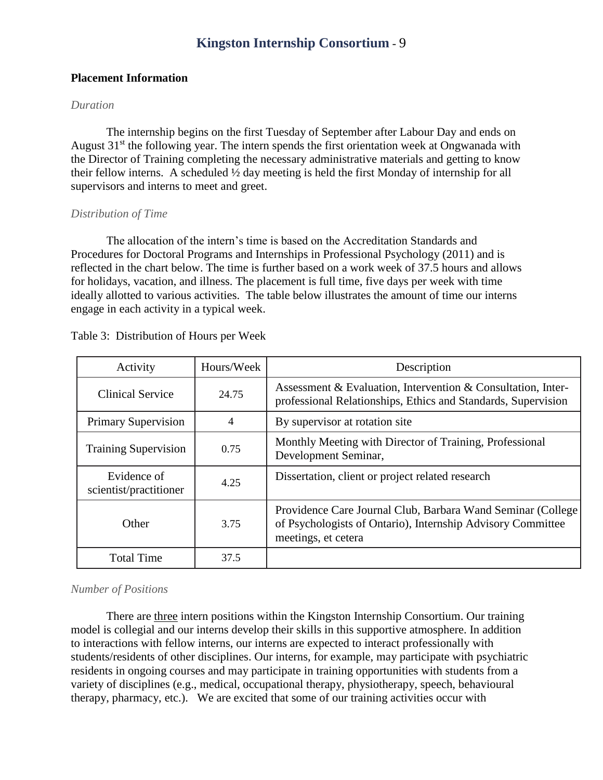#### <span id="page-11-0"></span>**Placement Information**

#### <span id="page-11-1"></span>*Duration*

The internship begins on the first Tuesday of September after Labour Day and ends on August  $31<sup>st</sup>$  the following year. The intern spends the first orientation week at Ongwanada with the Director of Training completing the necessary administrative materials and getting to know their fellow interns. A scheduled ½ day meeting is held the first Monday of internship for all supervisors and interns to meet and greet.

#### <span id="page-11-2"></span>*Distribution of Time*

The allocation of the intern's time is based on the Accreditation Standards and Procedures for Doctoral Programs and Internships in Professional Psychology (2011) and is reflected in the chart below. The time is further based on a work week of 37.5 hours and allows for holidays, vacation, and illness. The placement is full time, five days per week with time ideally allotted to various activities. The table below illustrates the amount of time our interns engage in each activity in a typical week.

| Activity                              | Hours/Week | Description                                                                                                                                       |  |
|---------------------------------------|------------|---------------------------------------------------------------------------------------------------------------------------------------------------|--|
| <b>Clinical Service</b>               | 24.75      | Assessment & Evaluation, Intervention & Consultation, Inter-<br>professional Relationships, Ethics and Standards, Supervision                     |  |
| <b>Primary Supervision</b>            | 4          | By supervisor at rotation site                                                                                                                    |  |
| <b>Training Supervision</b>           | 0.75       | Monthly Meeting with Director of Training, Professional<br>Development Seminar,                                                                   |  |
| Evidence of<br>scientist/practitioner | 4.25       | Dissertation, client or project related research                                                                                                  |  |
| Other                                 | 3.75       | Providence Care Journal Club, Barbara Wand Seminar (College<br>of Psychologists of Ontario), Internship Advisory Committee<br>meetings, et cetera |  |
| <b>Total Time</b>                     | 37.5       |                                                                                                                                                   |  |

Table 3: Distribution of Hours per Week

#### <span id="page-11-3"></span>*Number of Positions*

There are three intern positions within the Kingston Internship Consortium. Our training model is collegial and our interns develop their skills in this supportive atmosphere. In addition to interactions with fellow interns, our interns are expected to interact professionally with students/residents of other disciplines. Our interns, for example, may participate with psychiatric residents in ongoing courses and may participate in training opportunities with students from a variety of disciplines (e.g., medical, occupational therapy, physiotherapy, speech, behavioural therapy, pharmacy, etc.). We are excited that some of our training activities occur with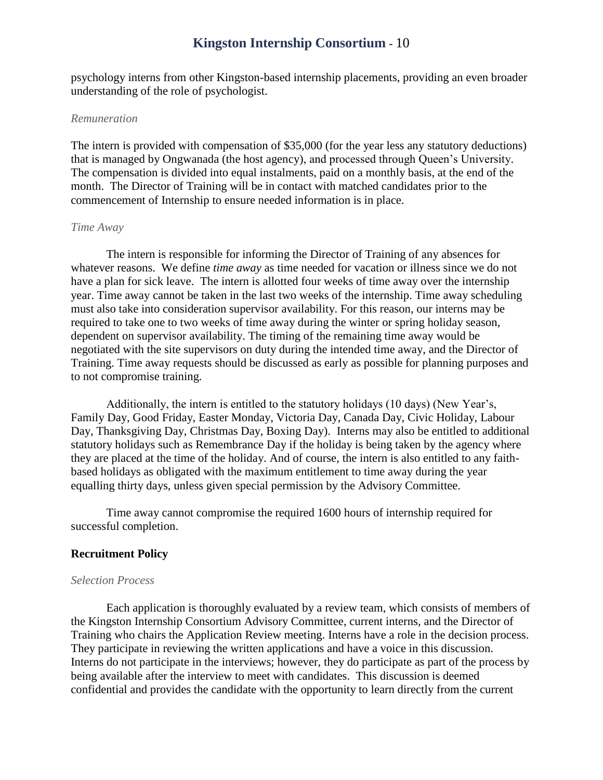psychology interns from other Kingston-based internship placements, providing an even broader understanding of the role of psychologist.

#### <span id="page-12-0"></span>*Remuneration*

The intern is provided with compensation of \$35,000 (for the year less any statutory deductions) that is managed by Ongwanada (the host agency), and processed through Queen's University. The compensation is divided into equal instalments, paid on a monthly basis, at the end of the month. The Director of Training will be in contact with matched candidates prior to the commencement of Internship to ensure needed information is in place.

#### <span id="page-12-1"></span>*Time Away*

The intern is responsible for informing the Director of Training of any absences for whatever reasons. We define *time away* as time needed for vacation or illness since we do not have a plan for sick leave. The intern is allotted four weeks of time away over the internship year. Time away cannot be taken in the last two weeks of the internship. Time away scheduling must also take into consideration supervisor availability. For this reason, our interns may be required to take one to two weeks of time away during the winter or spring holiday season, dependent on supervisor availability. The timing of the remaining time away would be negotiated with the site supervisors on duty during the intended time away, and the Director of Training. Time away requests should be discussed as early as possible for planning purposes and to not compromise training.

Additionally, the intern is entitled to the statutory holidays (10 days) (New Year's, Family Day, Good Friday, Easter Monday, Victoria Day, Canada Day, Civic Holiday, Labour Day, Thanksgiving Day, Christmas Day, Boxing Day). Interns may also be entitled to additional statutory holidays such as Remembrance Day if the holiday is being taken by the agency where they are placed at the time of the holiday. And of course, the intern is also entitled to any faithbased holidays as obligated with the maximum entitlement to time away during the year equalling thirty days, unless given special permission by the Advisory Committee.

Time away cannot compromise the required 1600 hours of internship required for successful completion.

#### <span id="page-12-2"></span>**Recruitment Policy**

#### <span id="page-12-3"></span>*Selection Process*

Each application is thoroughly evaluated by a review team, which consists of members of the Kingston Internship Consortium Advisory Committee, current interns, and the Director of Training who chairs the Application Review meeting. Interns have a role in the decision process. They participate in reviewing the written applications and have a voice in this discussion. Interns do not participate in the interviews; however, they do participate as part of the process by being available after the interview to meet with candidates. This discussion is deemed confidential and provides the candidate with the opportunity to learn directly from the current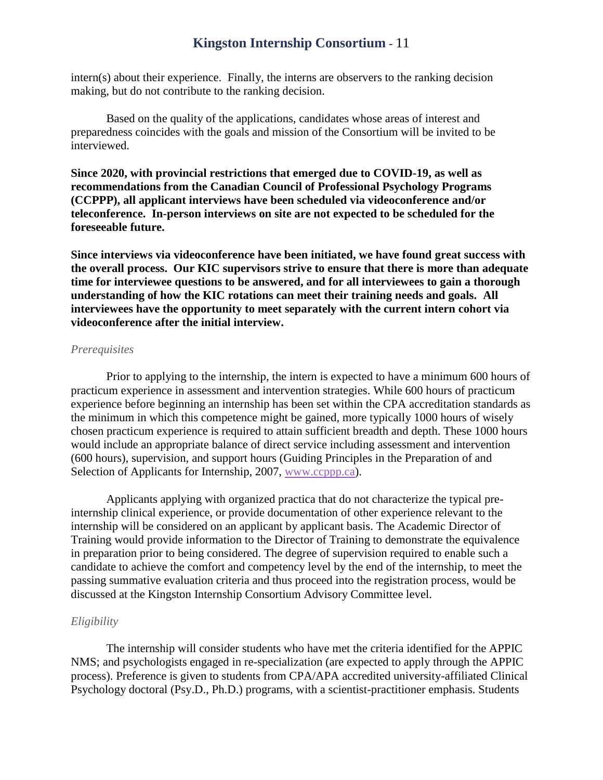intern(s) about their experience. Finally, the interns are observers to the ranking decision making, but do not contribute to the ranking decision.

Based on the quality of the applications, candidates whose areas of interest and preparedness coincides with the goals and mission of the Consortium will be invited to be interviewed.

**Since 2020, with provincial restrictions that emerged due to COVID-19, as well as recommendations from the Canadian Council of Professional Psychology Programs (CCPPP), all applicant interviews have been scheduled via videoconference and/or teleconference. In-person interviews on site are not expected to be scheduled for the foreseeable future.** 

**Since interviews via videoconference have been initiated, we have found great success with the overall process. Our KIC supervisors strive to ensure that there is more than adequate time for interviewee questions to be answered, and for all interviewees to gain a thorough understanding of how the KIC rotations can meet their training needs and goals. All interviewees have the opportunity to meet separately with the current intern cohort via videoconference after the initial interview.** 

#### <span id="page-13-0"></span>*Prerequisites*

Prior to applying to the internship, the intern is expected to have a minimum 600 hours of practicum experience in assessment and intervention strategies. While 600 hours of practicum experience before beginning an internship has been set within the CPA accreditation standards as the minimum in which this competence might be gained, more typically 1000 hours of wisely chosen practicum experience is required to attain sufficient breadth and depth. These 1000 hours would include an appropriate balance of direct service including assessment and intervention (600 hours), supervision, and support hours (Guiding Principles in the Preparation of and Selection of Applicants for Internship, 2007, [www.ccppp.ca\)](http://www.ccppp.ca/).

Applicants applying with organized practica that do not characterize the typical preinternship clinical experience, or provide documentation of other experience relevant to the internship will be considered on an applicant by applicant basis. The Academic Director of Training would provide information to the Director of Training to demonstrate the equivalence in preparation prior to being considered. The degree of supervision required to enable such a candidate to achieve the comfort and competency level by the end of the internship, to meet the passing summative evaluation criteria and thus proceed into the registration process, would be discussed at the Kingston Internship Consortium Advisory Committee level.

#### <span id="page-13-1"></span>*Eligibility*

The internship will consider students who have met the criteria identified for the APPIC NMS; and psychologists engaged in re-specialization (are expected to apply through the APPIC process). Preference is given to students from CPA/APA accredited university-affiliated Clinical Psychology doctoral (Psy.D., Ph.D.) programs, with a scientist-practitioner emphasis. Students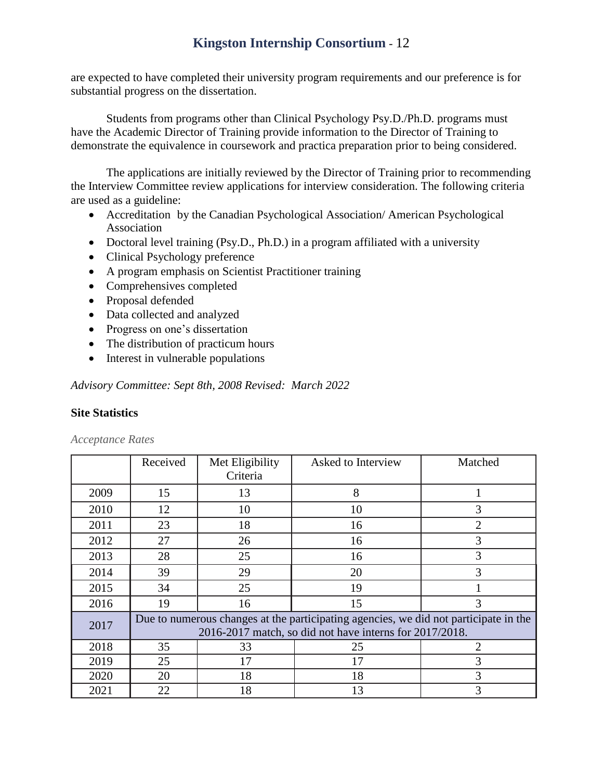are expected to have completed their university program requirements and our preference is for substantial progress on the dissertation.

Students from programs other than Clinical Psychology Psy.D./Ph.D. programs must have the Academic Director of Training provide information to the Director of Training to demonstrate the equivalence in coursework and practica preparation prior to being considered.

The applications are initially reviewed by the Director of Training prior to recommending the Interview Committee review applications for interview consideration. The following criteria are used as a guideline:

- Accreditation by the Canadian Psychological Association/ American Psychological Association
- Doctoral level training (Psy.D., Ph.D.) in a program affiliated with a university
- Clinical Psychology preference
- A program emphasis on Scientist Practitioner training
- Comprehensives completed
- Proposal defended
- Data collected and analyzed
- Progress on one's dissertation
- The distribution of practicum hours
- Interest in vulnerable populations

*Advisory Committee: Sept 8th, 2008 Revised: March 2022*

#### <span id="page-14-0"></span>**Site Statistics**

|      | Received                                                                                                                                        | Met Eligibility<br>Criteria | Asked to Interview | Matched        |
|------|-------------------------------------------------------------------------------------------------------------------------------------------------|-----------------------------|--------------------|----------------|
| 2009 | 15                                                                                                                                              | 13                          | 8                  |                |
| 2010 | 12                                                                                                                                              | 10                          | 10                 | 3              |
| 2011 | 23                                                                                                                                              | 18                          | 16                 | $\overline{2}$ |
| 2012 | 27                                                                                                                                              | 26                          | 16                 | 3              |
| 2013 | 28                                                                                                                                              | 25                          | 16                 | 3              |
| 2014 | 39                                                                                                                                              | 29                          | 20                 | 3              |
| 2015 | 34                                                                                                                                              | 25                          | 19                 |                |
| 2016 | 19                                                                                                                                              | 16                          | 15                 | 3              |
| 2017 | Due to numerous changes at the participating agencies, we did not participate in the<br>2016-2017 match, so did not have interns for 2017/2018. |                             |                    |                |
| 2018 | 35                                                                                                                                              | 33                          | 25                 | 2              |
| 2019 | 25                                                                                                                                              | 17                          | 17                 | 3              |
| 2020 | 20                                                                                                                                              | 18                          | 18                 | 3              |
| 2021 | 22                                                                                                                                              | 18                          | 13                 | 3              |

<span id="page-14-1"></span>*Acceptance Rates*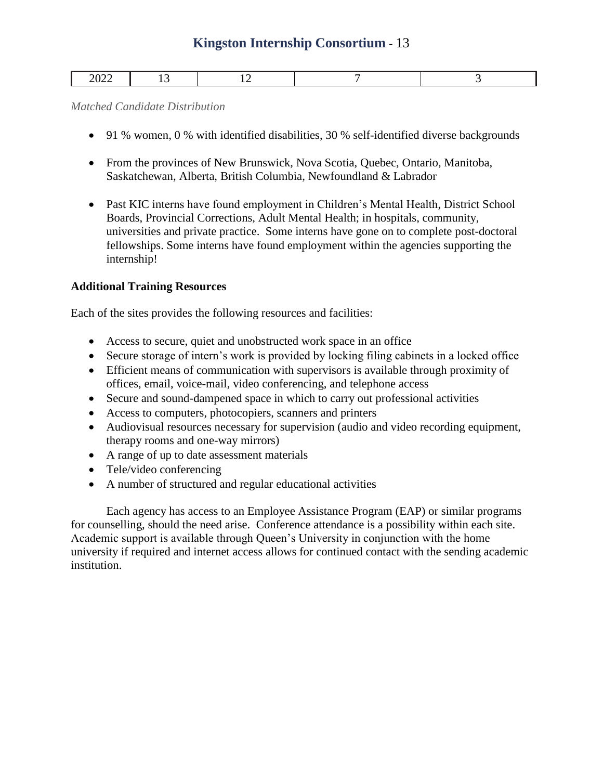| ---- |  |  |
|------|--|--|

<span id="page-15-0"></span>*Matched Candidate Distribution*

- 91 % women, 0 % with identified disabilities, 30 % self-identified diverse backgrounds
- From the provinces of New Brunswick, Nova Scotia, Quebec, Ontario, Manitoba, Saskatchewan, Alberta, British Columbia, Newfoundland & Labrador
- Past KIC interns have found employment in Children's Mental Health, District School Boards, Provincial Corrections, Adult Mental Health; in hospitals, community, universities and private practice. Some interns have gone on to complete post-doctoral fellowships. Some interns have found employment within the agencies supporting the internship!

#### <span id="page-15-1"></span>**Additional Training Resources**

Each of the sites provides the following resources and facilities:

- Access to secure, quiet and unobstructed work space in an office
- Secure storage of intern's work is provided by locking filing cabinets in a locked office
- Efficient means of communication with supervisors is available through proximity of offices, email, voice-mail, video conferencing, and telephone access
- Secure and sound-dampened space in which to carry out professional activities
- Access to computers, photocopiers, scanners and printers
- Audiovisual resources necessary for supervision (audio and video recording equipment, therapy rooms and one-way mirrors)
- A range of up to date assessment materials
- Tele/video conferencing
- A number of structured and regular educational activities

Each agency has access to an Employee Assistance Program (EAP) or similar programs for counselling, should the need arise. Conference attendance is a possibility within each site. Academic support is available through Queen's University in conjunction with the home university if required and internet access allows for continued contact with the sending academic institution.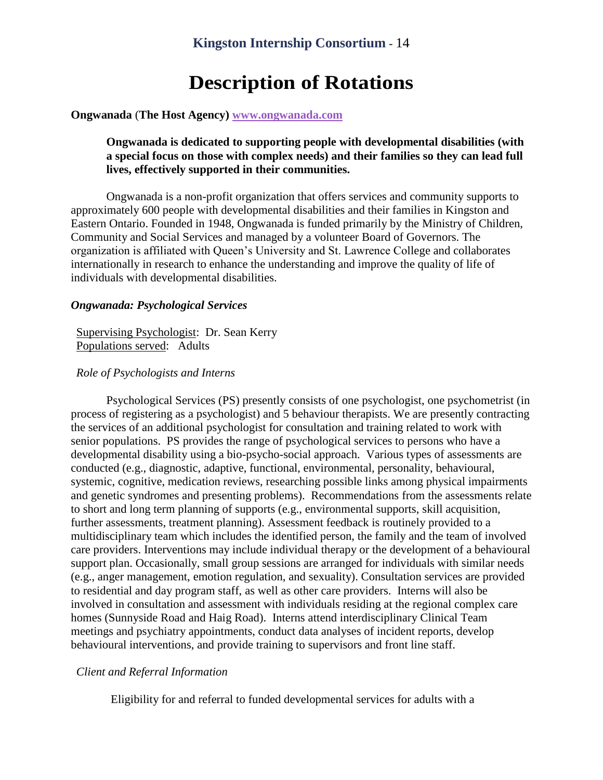## **Description of Rotations**

#### <span id="page-16-1"></span><span id="page-16-0"></span>**Ongwanada** (**The Host Agency) [www.ongwanada.com](http://www.ongwanada.com/)**

#### **Ongwanada is dedicated to supporting people with developmental disabilities (with a special focus on those with complex needs) and their families so they can lead full lives, effectively supported in their communities.**

Ongwanada is a non-profit organization that offers services and community supports to approximately 600 people with developmental disabilities and their families in Kingston and Eastern Ontario. Founded in 1948, Ongwanada is funded primarily by the Ministry of Children, Community and Social Services and managed by a volunteer Board of Governors. The organization is affiliated with Queen's University and St. Lawrence College and collaborates internationally in research to enhance the understanding and improve the quality of life of individuals with developmental disabilities.

#### <span id="page-16-2"></span>*Ongwanada: Psychological Services*

#### Supervising Psychologist: Dr. Sean Kerry Populations served: Adults

#### *Role of Psychologists and Interns*

Psychological Services (PS) presently consists of one psychologist, one psychometrist (in process of registering as a psychologist) and 5 behaviour therapists. We are presently contracting the services of an additional psychologist for consultation and training related to work with senior populations. PS provides the range of psychological services to persons who have a developmental disability using a bio-psycho-social approach. Various types of assessments are conducted (e.g., diagnostic, adaptive, functional, environmental, personality, behavioural, systemic, cognitive, medication reviews, researching possible links among physical impairments and genetic syndromes and presenting problems). Recommendations from the assessments relate to short and long term planning of supports (e.g., environmental supports, skill acquisition, further assessments, treatment planning). Assessment feedback is routinely provided to a multidisciplinary team which includes the identified person, the family and the team of involved care providers. Interventions may include individual therapy or the development of a behavioural support plan. Occasionally, small group sessions are arranged for individuals with similar needs (e.g., anger management, emotion regulation, and sexuality). Consultation services are provided to residential and day program staff, as well as other care providers. Interns will also be involved in consultation and assessment with individuals residing at the regional complex care homes (Sunnyside Road and Haig Road). Interns attend interdisciplinary Clinical Team meetings and psychiatry appointments, conduct data analyses of incident reports, develop behavioural interventions, and provide training to supervisors and front line staff.

#### *Client and Referral Information*

Eligibility for and referral to funded developmental services for adults with a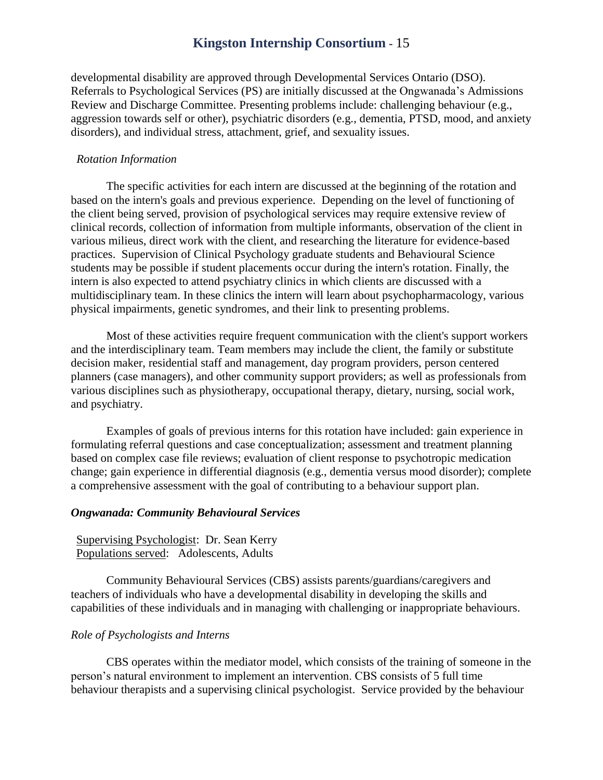developmental disability are approved through Developmental Services Ontario (DSO). Referrals to Psychological Services (PS) are initially discussed at the Ongwanada's Admissions Review and Discharge Committee. Presenting problems include: challenging behaviour (e.g., aggression towards self or other), psychiatric disorders (e.g., dementia, PTSD, mood, and anxiety disorders), and individual stress, attachment, grief, and sexuality issues.

#### *Rotation Information*

The specific activities for each intern are discussed at the beginning of the rotation and based on the intern's goals and previous experience. Depending on the level of functioning of the client being served, provision of psychological services may require extensive review of clinical records, collection of information from multiple informants, observation of the client in various milieus, direct work with the client, and researching the literature for evidence-based practices. Supervision of Clinical Psychology graduate students and Behavioural Science students may be possible if student placements occur during the intern's rotation. Finally, the intern is also expected to attend psychiatry clinics in which clients are discussed with a multidisciplinary team. In these clinics the intern will learn about psychopharmacology, various physical impairments, genetic syndromes, and their link to presenting problems.

Most of these activities require frequent communication with the client's support workers and the interdisciplinary team. Team members may include the client, the family or substitute decision maker, residential staff and management, day program providers, person centered planners (case managers), and other community support providers; as well as professionals from various disciplines such as physiotherapy, occupational therapy, dietary, nursing, social work, and psychiatry.

Examples of goals of previous interns for this rotation have included: gain experience in formulating referral questions and case conceptualization; assessment and treatment planning based on complex case file reviews; evaluation of client response to psychotropic medication change; gain experience in differential diagnosis (e.g., dementia versus mood disorder); complete a comprehensive assessment with the goal of contributing to a behaviour support plan.

#### <span id="page-17-0"></span>*Ongwanada: Community Behavioural Services*

#### Supervising Psychologist: Dr. Sean Kerry Populations served: Adolescents, Adults

Community Behavioural Services (CBS) assists parents/guardians/caregivers and teachers of individuals who have a developmental disability in developing the skills and capabilities of these individuals and in managing with challenging or inappropriate behaviours.

#### *Role of Psychologists and Interns*

CBS operates within the mediator model, which consists of the training of someone in the person's natural environment to implement an intervention. CBS consists of 5 full time behaviour therapists and a supervising clinical psychologist. Service provided by the behaviour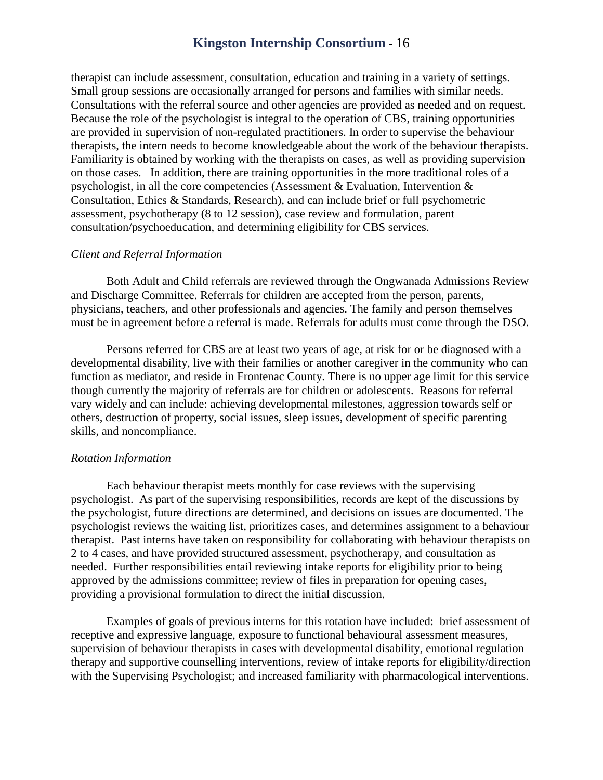therapist can include assessment, consultation, education and training in a variety of settings. Small group sessions are occasionally arranged for persons and families with similar needs. Consultations with the referral source and other agencies are provided as needed and on request. Because the role of the psychologist is integral to the operation of CBS, training opportunities are provided in supervision of non-regulated practitioners. In order to supervise the behaviour therapists, the intern needs to become knowledgeable about the work of the behaviour therapists. Familiarity is obtained by working with the therapists on cases, as well as providing supervision on those cases. In addition, there are training opportunities in the more traditional roles of a psychologist, in all the core competencies (Assessment & Evaluation, Intervention & Consultation, Ethics & Standards, Research), and can include brief or full psychometric assessment, psychotherapy (8 to 12 session), case review and formulation, parent consultation/psychoeducation, and determining eligibility for CBS services.

#### *Client and Referral Information*

Both Adult and Child referrals are reviewed through the Ongwanada Admissions Review and Discharge Committee. Referrals for children are accepted from the person, parents, physicians, teachers, and other professionals and agencies. The family and person themselves must be in agreement before a referral is made. Referrals for adults must come through the DSO.

Persons referred for CBS are at least two years of age, at risk for or be diagnosed with a developmental disability, live with their families or another caregiver in the community who can function as mediator, and reside in Frontenac County. There is no upper age limit for this service though currently the majority of referrals are for children or adolescents. Reasons for referral vary widely and can include: achieving developmental milestones, aggression towards self or others, destruction of property, social issues, sleep issues, development of specific parenting skills, and noncompliance.

#### *Rotation Information*

Each behaviour therapist meets monthly for case reviews with the supervising psychologist. As part of the supervising responsibilities, records are kept of the discussions by the psychologist, future directions are determined, and decisions on issues are documented. The psychologist reviews the waiting list, prioritizes cases, and determines assignment to a behaviour therapist. Past interns have taken on responsibility for collaborating with behaviour therapists on 2 to 4 cases, and have provided structured assessment, psychotherapy, and consultation as needed. Further responsibilities entail reviewing intake reports for eligibility prior to being approved by the admissions committee; review of files in preparation for opening cases, providing a provisional formulation to direct the initial discussion.

Examples of goals of previous interns for this rotation have included: brief assessment of receptive and expressive language, exposure to functional behavioural assessment measures, supervision of behaviour therapists in cases with developmental disability, emotional regulation therapy and supportive counselling interventions, review of intake reports for eligibility/direction with the Supervising Psychologist; and increased familiarity with pharmacological interventions.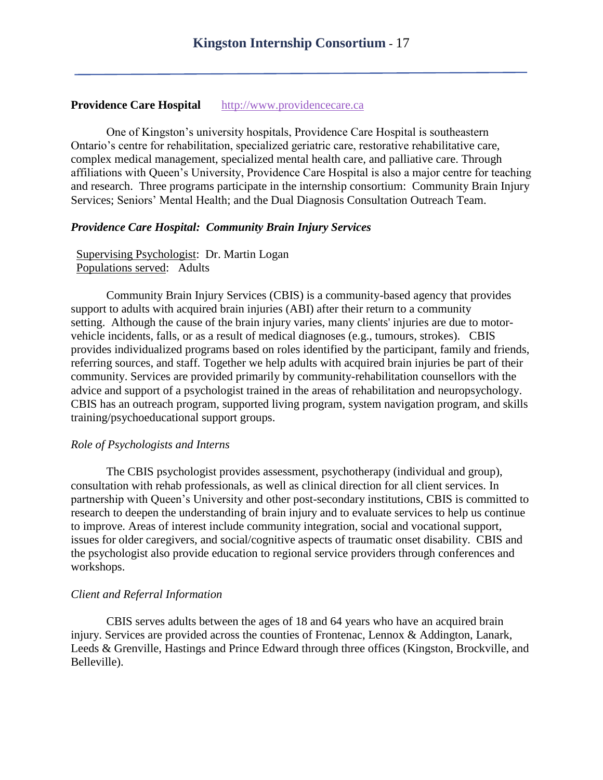#### <span id="page-19-0"></span>**Providence Care Hospital** [http://www.providencecare.ca](http://www.providencecare.ca/)

One of Kingston's university hospitals, Providence Care Hospital is southeastern Ontario's centre for rehabilitation, specialized geriatric care, restorative rehabilitative care, complex medical management, specialized mental health care, and palliative care. Through affiliations with Queen's University, Providence Care Hospital is also a major centre for teaching and research. Three programs participate in the internship consortium: Community Brain Injury Services; Seniors' Mental Health; and the Dual Diagnosis Consultation Outreach Team.

#### <span id="page-19-1"></span>*Providence Care Hospital: Community Brain Injury Services*

Supervising Psychologist: Dr. Martin Logan Populations served: Adults

Community Brain Injury Services (CBIS) is a community-based agency that provides support to adults with acquired brain injuries (ABI) after their return to a community setting. Although the cause of the brain injury varies, many clients' injuries are due to motorvehicle incidents, falls, or as a result of medical diagnoses (e.g., tumours, strokes). CBIS provides individualized programs based on roles identified by the participant, family and friends, referring sources, and staff. Together we help adults with acquired brain injuries be part of their community. Services are provided primarily by community-rehabilitation counsellors with the advice and support of a psychologist trained in the areas of rehabilitation and neuropsychology. CBIS has an outreach program, supported living program, system navigation program, and skills training/psychoeducational support groups.

#### *Role of Psychologists and Interns*

The CBIS psychologist provides assessment, psychotherapy (individual and group), consultation with rehab professionals, as well as clinical direction for all client services. In partnership with Queen's University and other post-secondary institutions, CBIS is committed to research to deepen the understanding of brain injury and to evaluate services to help us continue to improve. Areas of interest include community integration, social and vocational support, issues for older caregivers, and social/cognitive aspects of traumatic onset disability. CBIS and the psychologist also provide education to regional service providers through conferences and workshops.

#### *Client and Referral Information*

CBIS serves adults between the ages of 18 and 64 years who have an acquired brain injury. Services are provided across the counties of Frontenac, Lennox & Addington, Lanark, Leeds & Grenville, Hastings and Prince Edward through three offices (Kingston, Brockville, and Belleville).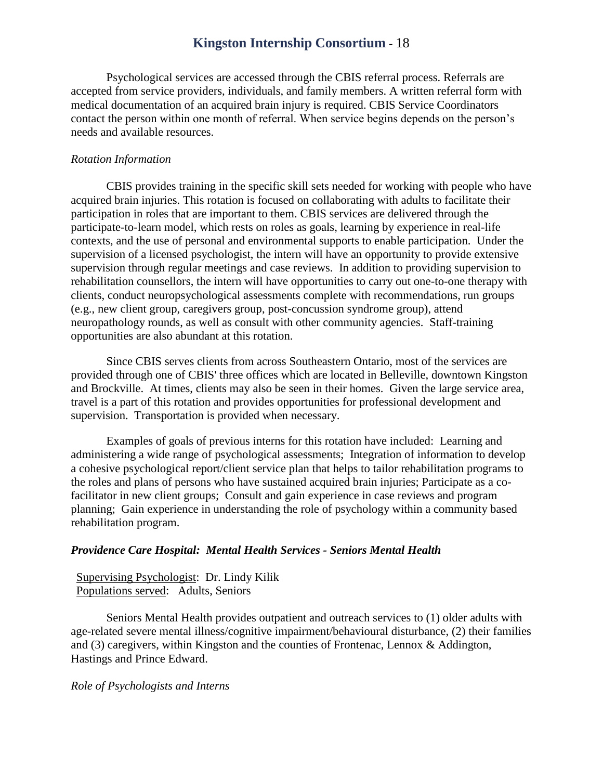Psychological services are accessed through the CBIS referral process. Referrals are accepted from service providers, individuals, and family members. A written referral form with medical documentation of an acquired brain injury is required. CBIS Service Coordinators contact the person within one month of referral. When service begins depends on the person's needs and available resources.

#### *Rotation Information*

CBIS provides training in the specific skill sets needed for working with people who have acquired brain injuries. This rotation is focused on collaborating with adults to facilitate their participation in roles that are important to them. CBIS services are delivered through the participate-to-learn model, which rests on roles as goals, learning by experience in real-life contexts, and the use of personal and environmental supports to enable participation. Under the supervision of a licensed psychologist, the intern will have an opportunity to provide extensive supervision through regular meetings and case reviews. In addition to providing supervision to rehabilitation counsellors, the intern will have opportunities to carry out one-to-one therapy with clients, conduct neuropsychological assessments complete with recommendations, run groups (e.g., new client group, caregivers group, post-concussion syndrome group), attend neuropathology rounds, as well as consult with other community agencies. Staff-training opportunities are also abundant at this rotation.

Since CBIS serves clients from across Southeastern Ontario, most of the services are provided through one of CBIS' three offices which are located in Belleville, downtown Kingston and Brockville. At times, clients may also be seen in their homes. Given the large service area, travel is a part of this rotation and provides opportunities for professional development and supervision. Transportation is provided when necessary.

Examples of goals of previous interns for this rotation have included: Learning and administering a wide range of psychological assessments; Integration of information to develop a cohesive psychological report/client service plan that helps to tailor rehabilitation programs to the roles and plans of persons who have sustained acquired brain injuries; Participate as a cofacilitator in new client groups; Consult and gain experience in case reviews and program planning; Gain experience in understanding the role of psychology within a community based rehabilitation program.

#### <span id="page-20-0"></span>*Providence Care Hospital: Mental Health Services - Seniors Mental Health*

Supervising Psychologist: Dr. Lindy Kilik Populations served: Adults, Seniors

Seniors Mental Health provides outpatient and outreach services to (1) older adults with age-related severe mental illness/cognitive impairment/behavioural disturbance, (2) their families and (3) caregivers, within Kingston and the counties of Frontenac, Lennox & Addington, Hastings and Prince Edward.

#### *Role of Psychologists and Interns*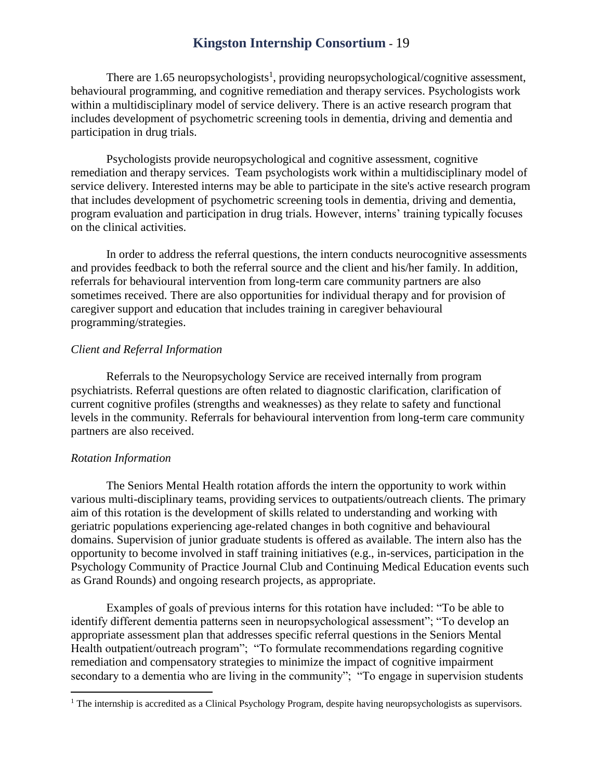There are  $1.65$  neuropsychologists<sup>1</sup>, providing neuropsychological/cognitive assessment, behavioural programming, and cognitive remediation and therapy services. Psychologists work within a multidisciplinary model of service delivery. There is an active research program that includes development of psychometric screening tools in dementia, driving and dementia and participation in drug trials.

Psychologists provide neuropsychological and cognitive assessment, cognitive remediation and therapy services. Team psychologists work within a multidisciplinary model of service delivery. Interested interns may be able to participate in the site's active research program that includes development of psychometric screening tools in dementia, driving and dementia, program evaluation and participation in drug trials. However, interns' training typically focuses on the clinical activities.

In order to address the referral questions, the intern conducts neurocognitive assessments and provides feedback to both the referral source and the client and his/her family. In addition, referrals for behavioural intervention from long-term care community partners are also sometimes received. There are also opportunities for individual therapy and for provision of caregiver support and education that includes training in caregiver behavioural programming/strategies.

#### *Client and Referral Information*

Referrals to the Neuropsychology Service are received internally from program psychiatrists. Referral questions are often related to diagnostic clarification, clarification of current cognitive profiles (strengths and weaknesses) as they relate to safety and functional levels in the community. Referrals for behavioural intervention from long-term care community partners are also received.

#### *Rotation Information*

 $\overline{a}$ 

The Seniors Mental Health rotation affords the intern the opportunity to work within various multi-disciplinary teams, providing services to outpatients/outreach clients. The primary aim of this rotation is the development of skills related to understanding and working with geriatric populations experiencing age-related changes in both cognitive and behavioural domains. Supervision of junior graduate students is offered as available. The intern also has the opportunity to become involved in staff training initiatives (e.g., in-services, participation in the Psychology Community of Practice Journal Club and Continuing Medical Education events such as Grand Rounds) and ongoing research projects, as appropriate.

Examples of goals of previous interns for this rotation have included: "To be able to identify different dementia patterns seen in neuropsychological assessment"; "To develop an appropriate assessment plan that addresses specific referral questions in the Seniors Mental Health outpatient/outreach program"; "To formulate recommendations regarding cognitive remediation and compensatory strategies to minimize the impact of cognitive impairment secondary to a dementia who are living in the community"; "To engage in supervision students

 $<sup>1</sup>$  The internship is accredited as a Clinical Psychology Program, despite having neuropsychologists as supervisors.</sup>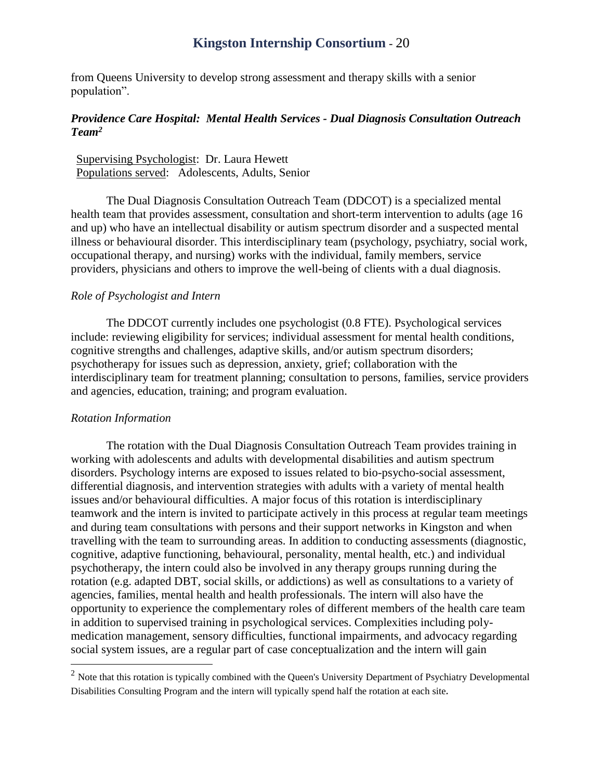from Queens University to develop strong assessment and therapy skills with a senior population".

#### <span id="page-22-0"></span>*Providence Care Hospital: Mental Health Services - Dual Diagnosis Consultation Outreach*   $\bm{T}$ eam<sup>2</sup>

Supervising Psychologist: Dr. Laura Hewett Populations served: Adolescents, Adults, Senior

The Dual Diagnosis Consultation Outreach Team (DDCOT) is a specialized mental health team that provides assessment, consultation and short-term intervention to adults (age 16 and up) who have an intellectual disability or autism spectrum disorder and a suspected mental illness or behavioural disorder. This interdisciplinary team (psychology, psychiatry, social work, occupational therapy, and nursing) works with the individual, family members, service providers, physicians and others to improve the well-being of clients with a dual diagnosis.

#### *Role of Psychologist and Intern*

The DDCOT currently includes one psychologist (0.8 FTE). Psychological services include: reviewing eligibility for services; individual assessment for mental health conditions, cognitive strengths and challenges, adaptive skills, and/or autism spectrum disorders; psychotherapy for issues such as depression, anxiety, grief; collaboration with the interdisciplinary team for treatment planning; consultation to persons, families, service providers and agencies, education, training; and program evaluation.

#### *Rotation Information*

 $\overline{a}$ 

The rotation with the Dual Diagnosis Consultation Outreach Team provides training in working with adolescents and adults with developmental disabilities and autism spectrum disorders. Psychology interns are exposed to issues related to bio-psycho-social assessment, differential diagnosis, and intervention strategies with adults with a variety of mental health issues and/or behavioural difficulties. A major focus of this rotation is interdisciplinary teamwork and the intern is invited to participate actively in this process at regular team meetings and during team consultations with persons and their support networks in Kingston and when travelling with the team to surrounding areas. In addition to conducting assessments (diagnostic, cognitive, adaptive functioning, behavioural, personality, mental health, etc.) and individual psychotherapy, the intern could also be involved in any therapy groups running during the rotation (e.g. adapted DBT, social skills, or addictions) as well as consultations to a variety of agencies, families, mental health and health professionals. The intern will also have the opportunity to experience the complementary roles of different members of the health care team in addition to supervised training in psychological services. Complexities including polymedication management, sensory difficulties, functional impairments, and advocacy regarding social system issues, are a regular part of case conceptualization and the intern will gain

 $<sup>2</sup>$  Note that this rotation is typically combined with the Queen's University Department of Psychiatry Developmental</sup> Disabilities Consulting Program and the intern will typically spend half the rotation at each site*.*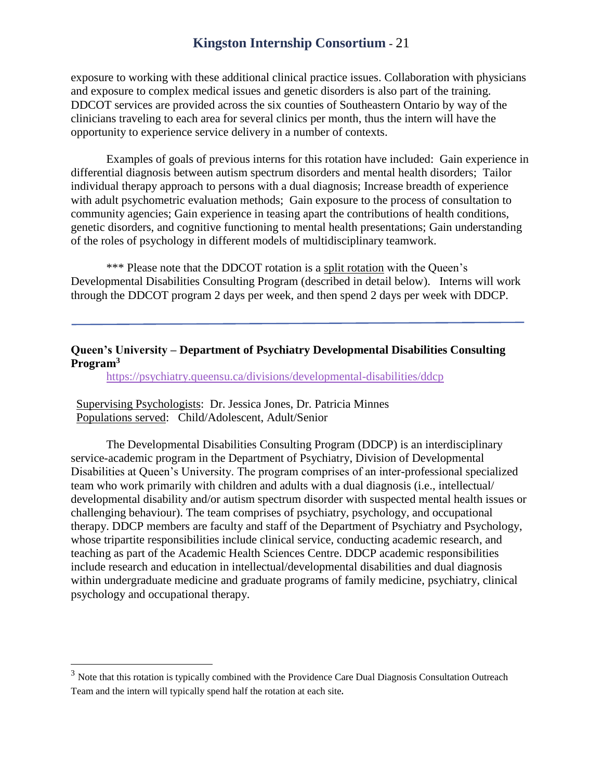exposure to working with these additional clinical practice issues. Collaboration with physicians and exposure to complex medical issues and genetic disorders is also part of the training. DDCOT services are provided across the six counties of Southeastern Ontario by way of the clinicians traveling to each area for several clinics per month, thus the intern will have the opportunity to experience service delivery in a number of contexts.

Examples of goals of previous interns for this rotation have included: Gain experience in differential diagnosis between autism spectrum disorders and mental health disorders; Tailor individual therapy approach to persons with a dual diagnosis; Increase breadth of experience with adult psychometric evaluation methods; Gain exposure to the process of consultation to community agencies; Gain experience in teasing apart the contributions of health conditions, genetic disorders, and cognitive functioning to mental health presentations; Gain understanding of the roles of psychology in different models of multidisciplinary teamwork.

\*\*\* Please note that the DDCOT rotation is a split rotation with the Queen's Developmental Disabilities Consulting Program (described in detail below). Interns will work through the DDCOT program 2 days per week, and then spend 2 days per week with DDCP.

#### <span id="page-23-0"></span>**Queen's University – Department of Psychiatry Developmental Disabilities Consulting Program<sup>3</sup>**

<https://psychiatry.queensu.ca/divisions/developmental-disabilities/ddcp>

Supervising Psychologists: Dr. Jessica Jones, Dr. Patricia Minnes Populations served: Child/Adolescent, Adult/Senior

 $\overline{a}$ 

The Developmental Disabilities Consulting Program (DDCP) is an interdisciplinary service-academic program in the Department of Psychiatry, Division of Developmental Disabilities at Queen's University. The program comprises of an inter-professional specialized team who work primarily with children and adults with a dual diagnosis (i.e., intellectual/ developmental disability and/or autism spectrum disorder with suspected mental health issues or challenging behaviour). The team comprises of psychiatry, psychology, and occupational therapy. DDCP members are faculty and staff of the Department of Psychiatry and Psychology, whose tripartite responsibilities include clinical service, conducting academic research, and teaching as part of the Academic Health Sciences Centre. DDCP academic responsibilities include research and education in intellectual/developmental disabilities and dual diagnosis within undergraduate medicine and graduate programs of family medicine, psychiatry, clinical psychology and occupational therapy.

<sup>&</sup>lt;sup>3</sup> Note that this rotation is typically combined with the Providence Care Dual Diagnosis Consultation Outreach Team and the intern will typically spend half the rotation at each site*.*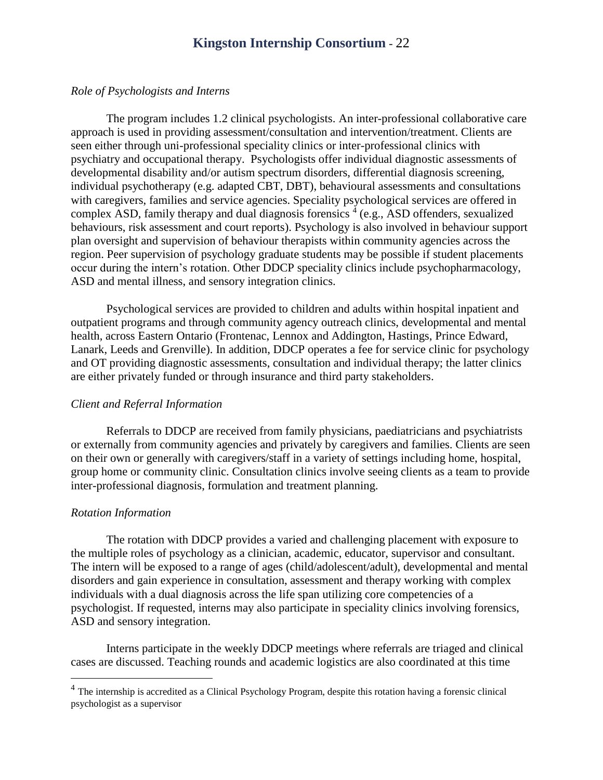#### *Role of Psychologists and Interns*

The program includes 1.2 clinical psychologists. An inter-professional collaborative care approach is used in providing assessment/consultation and intervention/treatment. Clients are seen either through uni-professional speciality clinics or inter-professional clinics with psychiatry and occupational therapy. Psychologists offer individual diagnostic assessments of developmental disability and/or autism spectrum disorders, differential diagnosis screening, individual psychotherapy (e.g. adapted CBT, DBT), behavioural assessments and consultations with caregivers, families and service agencies. Speciality psychological services are offered in complex ASD, family therapy and dual diagnosis forensics  $4$  (e.g., ASD offenders, sexualized behaviours, risk assessment and court reports). Psychology is also involved in behaviour support plan oversight and supervision of behaviour therapists within community agencies across the region. Peer supervision of psychology graduate students may be possible if student placements occur during the intern's rotation. Other DDCP speciality clinics include psychopharmacology, ASD and mental illness, and sensory integration clinics.

Psychological services are provided to children and adults within hospital inpatient and outpatient programs and through community agency outreach clinics, developmental and mental health, across Eastern Ontario (Frontenac, Lennox and Addington, Hastings, Prince Edward, Lanark, Leeds and Grenville). In addition, DDCP operates a fee for service clinic for psychology and OT providing diagnostic assessments, consultation and individual therapy; the latter clinics are either privately funded or through insurance and third party stakeholders.

#### *Client and Referral Information*

Referrals to DDCP are received from family physicians, paediatricians and psychiatrists or externally from community agencies and privately by caregivers and families. Clients are seen on their own or generally with caregivers/staff in a variety of settings including home, hospital, group home or community clinic. Consultation clinics involve seeing clients as a team to provide inter-professional diagnosis, formulation and treatment planning.

#### *Rotation Information*

 $\overline{a}$ 

The rotation with DDCP provides a varied and challenging placement with exposure to the multiple roles of psychology as a clinician, academic, educator, supervisor and consultant. The intern will be exposed to a range of ages (child/adolescent/adult), developmental and mental disorders and gain experience in consultation, assessment and therapy working with complex individuals with a dual diagnosis across the life span utilizing core competencies of a psychologist. If requested, interns may also participate in speciality clinics involving forensics, ASD and sensory integration.

Interns participate in the weekly DDCP meetings where referrals are triaged and clinical cases are discussed. Teaching rounds and academic logistics are also coordinated at this time

<sup>&</sup>lt;sup>4</sup> The internship is accredited as a Clinical Psychology Program, despite this rotation having a forensic clinical psychologist as a supervisor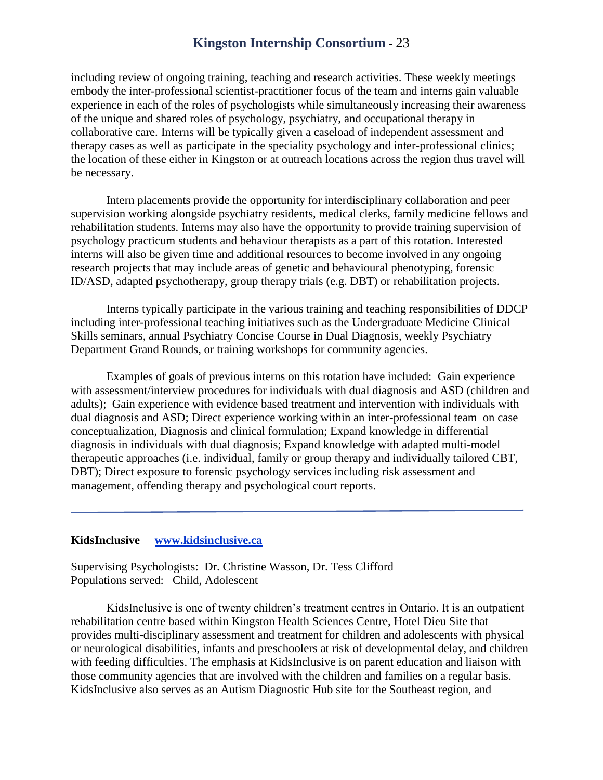including review of ongoing training, teaching and research activities. These weekly meetings embody the inter-professional scientist-practitioner focus of the team and interns gain valuable experience in each of the roles of psychologists while simultaneously increasing their awareness of the unique and shared roles of psychology, psychiatry, and occupational therapy in collaborative care. Interns will be typically given a caseload of independent assessment and therapy cases as well as participate in the speciality psychology and inter-professional clinics; the location of these either in Kingston or at outreach locations across the region thus travel will be necessary.

Intern placements provide the opportunity for interdisciplinary collaboration and peer supervision working alongside psychiatry residents, medical clerks, family medicine fellows and rehabilitation students. Interns may also have the opportunity to provide training supervision of psychology practicum students and behaviour therapists as a part of this rotation. Interested interns will also be given time and additional resources to become involved in any ongoing research projects that may include areas of genetic and behavioural phenotyping, forensic ID/ASD, adapted psychotherapy, group therapy trials (e.g. DBT) or rehabilitation projects.

Interns typically participate in the various training and teaching responsibilities of DDCP including inter-professional teaching initiatives such as the Undergraduate Medicine Clinical Skills seminars, annual Psychiatry Concise Course in Dual Diagnosis, weekly Psychiatry Department Grand Rounds, or training workshops for community agencies.

Examples of goals of previous interns on this rotation have included: Gain experience with assessment/interview procedures for individuals with dual diagnosis and ASD (children and adults); Gain experience with evidence based treatment and intervention with individuals with dual diagnosis and ASD; Direct experience working within an inter-professional team on case conceptualization, Diagnosis and clinical formulation; Expand knowledge in differential diagnosis in individuals with dual diagnosis; Expand knowledge with adapted multi-model therapeutic approaches (i.e. individual, family or group therapy and individually tailored CBT, DBT); Direct exposure to forensic psychology services including risk assessment and management, offending therapy and psychological court reports.

#### <span id="page-25-0"></span>**KidsInclusive [www.kidsinclusive.ca](http://www.kidsinclusive.ca/)**

Supervising Psychologists: Dr. Christine Wasson, Dr. Tess Clifford Populations served: Child, Adolescent

KidsInclusive is one of twenty children's treatment centres in Ontario. It is an outpatient rehabilitation centre based within Kingston Health Sciences Centre, Hotel Dieu Site that provides multi-disciplinary assessment and treatment for children and adolescents with physical or neurological disabilities, infants and preschoolers at risk of developmental delay, and children with feeding difficulties. The emphasis at KidsInclusive is on parent education and liaison with those community agencies that are involved with the children and families on a regular basis. KidsInclusive also serves as an Autism Diagnostic Hub site for the Southeast region, and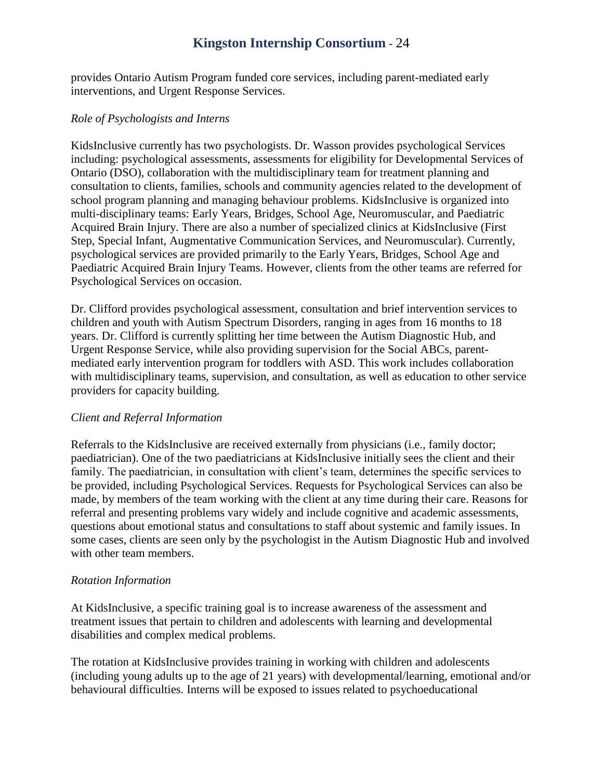provides Ontario Autism Program funded core services, including parent-mediated early interventions, and Urgent Response Services.

#### *Role of Psychologists and Interns*

KidsInclusive currently has two psychologists. Dr. Wasson provides psychological Services including: psychological assessments, assessments for eligibility for Developmental Services of Ontario (DSO), collaboration with the multidisciplinary team for treatment planning and consultation to clients, families, schools and community agencies related to the development of school program planning and managing behaviour problems. KidsInclusive is organized into multi-disciplinary teams: Early Years, Bridges, School Age, Neuromuscular, and Paediatric Acquired Brain Injury. There are also a number of specialized clinics at KidsInclusive (First Step, Special Infant, Augmentative Communication Services, and Neuromuscular). Currently, psychological services are provided primarily to the Early Years, Bridges, School Age and Paediatric Acquired Brain Injury Teams. However, clients from the other teams are referred for Psychological Services on occasion.

Dr. Clifford provides psychological assessment, consultation and brief intervention services to children and youth with Autism Spectrum Disorders, ranging in ages from 16 months to 18 years. Dr. Clifford is currently splitting her time between the Autism Diagnostic Hub, and Urgent Response Service, while also providing supervision for the Social ABCs, parentmediated early intervention program for toddlers with ASD. This work includes collaboration with multidisciplinary teams, supervision, and consultation, as well as education to other service providers for capacity building.

#### *Client and Referral Information*

Referrals to the KidsInclusive are received externally from physicians (i.e., family doctor; paediatrician). One of the two paediatricians at KidsInclusive initially sees the client and their family. The paediatrician, in consultation with client's team, determines the specific services to be provided, including Psychological Services. Requests for Psychological Services can also be made, by members of the team working with the client at any time during their care. Reasons for referral and presenting problems vary widely and include cognitive and academic assessments, questions about emotional status and consultations to staff about systemic and family issues. In some cases, clients are seen only by the psychologist in the Autism Diagnostic Hub and involved with other team members.

#### *Rotation Information*

At KidsInclusive, a specific training goal is to increase awareness of the assessment and treatment issues that pertain to children and adolescents with learning and developmental disabilities and complex medical problems.

The rotation at KidsInclusive provides training in working with children and adolescents (including young adults up to the age of 21 years) with developmental/learning, emotional and/or behavioural difficulties. Interns will be exposed to issues related to psychoeducational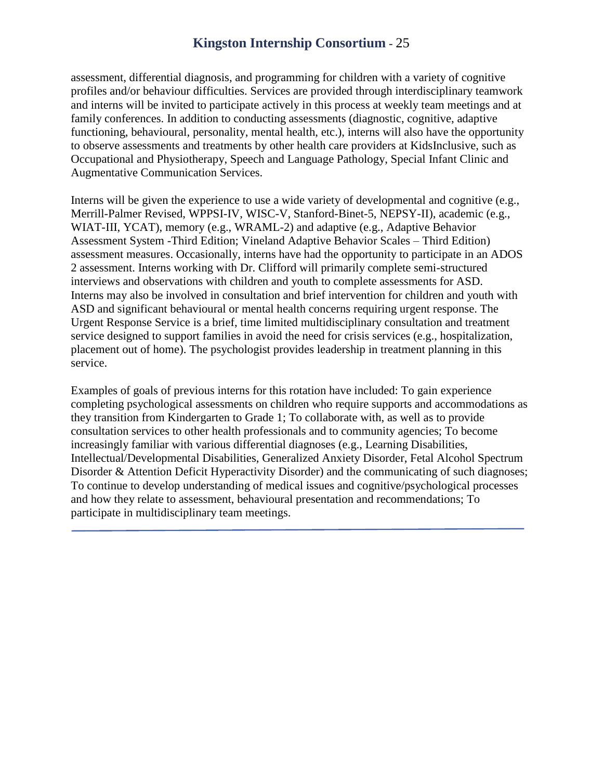assessment, differential diagnosis, and programming for children with a variety of cognitive profiles and/or behaviour difficulties. Services are provided through interdisciplinary teamwork and interns will be invited to participate actively in this process at weekly team meetings and at family conferences. In addition to conducting assessments (diagnostic, cognitive, adaptive functioning, behavioural, personality, mental health, etc.), interns will also have the opportunity to observe assessments and treatments by other health care providers at KidsInclusive, such as Occupational and Physiotherapy, Speech and Language Pathology, Special Infant Clinic and Augmentative Communication Services.

Interns will be given the experience to use a wide variety of developmental and cognitive (e.g., Merrill-Palmer Revised, WPPSI-IV, WISC-V, Stanford-Binet-5, NEPSY-II), academic (e.g., WIAT-III, YCAT), memory (e.g., WRAML-2) and adaptive (e.g., Adaptive Behavior Assessment System -Third Edition; Vineland Adaptive Behavior Scales – Third Edition) assessment measures. Occasionally, interns have had the opportunity to participate in an ADOS 2 assessment. Interns working with Dr. Clifford will primarily complete semi-structured interviews and observations with children and youth to complete assessments for ASD. Interns may also be involved in consultation and brief intervention for children and youth with ASD and significant behavioural or mental health concerns requiring urgent response. The Urgent Response Service is a brief, time limited multidisciplinary consultation and treatment service designed to support families in avoid the need for crisis services (e.g., hospitalization, placement out of home). The psychologist provides leadership in treatment planning in this service.

Examples of goals of previous interns for this rotation have included: To gain experience completing psychological assessments on children who require supports and accommodations as they transition from Kindergarten to Grade 1; To collaborate with, as well as to provide consultation services to other health professionals and to community agencies; To become increasingly familiar with various differential diagnoses (e.g., Learning Disabilities, Intellectual/Developmental Disabilities, Generalized Anxiety Disorder, Fetal Alcohol Spectrum Disorder & Attention Deficit Hyperactivity Disorder) and the communicating of such diagnoses; To continue to develop understanding of medical issues and cognitive/psychological processes and how they relate to assessment, behavioural presentation and recommendations; To participate in multidisciplinary team meetings.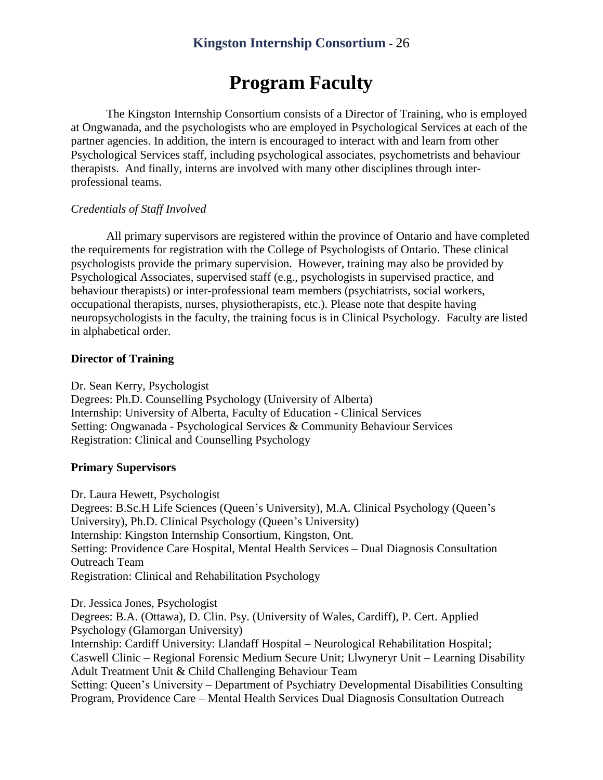## **Program Faculty**

<span id="page-28-0"></span>The Kingston Internship Consortium consists of a Director of Training, who is employed at Ongwanada, and the psychologists who are employed in Psychological Services at each of the partner agencies. In addition, the intern is encouraged to interact with and learn from other Psychological Services staff, including psychological associates, psychometrists and behaviour therapists. And finally, interns are involved with many other disciplines through interprofessional teams.

#### *Credentials of Staff Involved*

All primary supervisors are registered within the province of Ontario and have completed the requirements for registration with the College of Psychologists of Ontario. These clinical psychologists provide the primary supervision. However, training may also be provided by Psychological Associates, supervised staff (e.g., psychologists in supervised practice, and behaviour therapists) or inter-professional team members (psychiatrists, social workers, occupational therapists, nurses, physiotherapists, etc.). Please note that despite having neuropsychologists in the faculty, the training focus is in Clinical Psychology. Faculty are listed in alphabetical order.

#### <span id="page-28-1"></span>**Director of Training**

Dr. Sean Kerry, Psychologist

Degrees: Ph.D. Counselling Psychology (University of Alberta) Internship: University of Alberta, Faculty of Education - Clinical Services Setting: Ongwanada - Psychological Services & Community Behaviour Services Registration: Clinical and Counselling Psychology

#### <span id="page-28-2"></span>**Primary Supervisors**

Dr. Laura Hewett, Psychologist Degrees: B.Sc.H Life Sciences (Queen's University), M.A. Clinical Psychology (Queen's University), Ph.D. Clinical Psychology (Queen's University) Internship: Kingston Internship Consortium, Kingston, Ont. Setting: Providence Care Hospital, Mental Health Services – Dual Diagnosis Consultation Outreach Team Registration: Clinical and Rehabilitation Psychology

Dr. Jessica Jones, Psychologist Degrees: B.A. (Ottawa), D. Clin. Psy. (University of Wales, Cardiff), P. Cert. Applied Psychology (Glamorgan University) Internship: Cardiff University: Llandaff Hospital – Neurological Rehabilitation Hospital; Caswell Clinic – Regional Forensic Medium Secure Unit; Llwyneryr Unit – Learning Disability Adult Treatment Unit & Child Challenging Behaviour Team Setting: Queen's University – Department of Psychiatry Developmental Disabilities Consulting Program, Providence Care – Mental Health Services Dual Diagnosis Consultation Outreach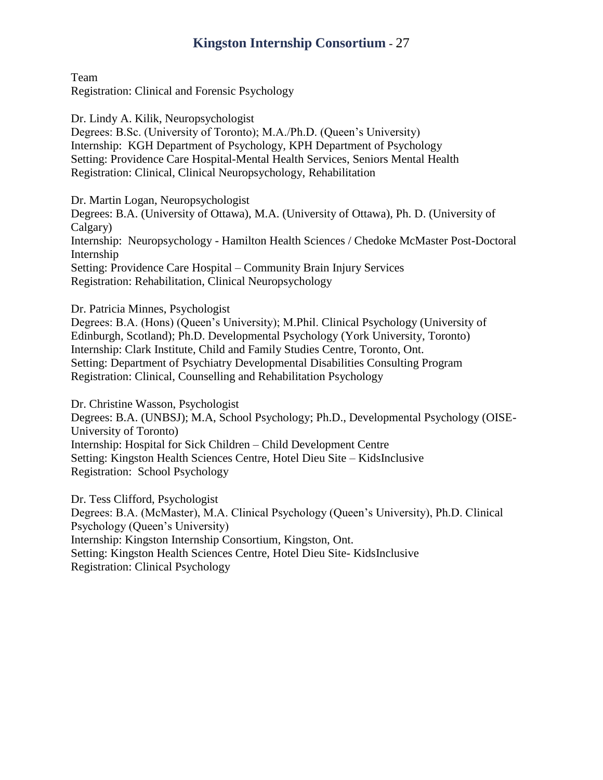Team Registration: Clinical and Forensic Psychology

Dr. Lindy A. Kilik, Neuropsychologist Degrees: B.Sc. (University of Toronto); M.A./Ph.D. (Queen's University) Internship: KGH Department of Psychology, KPH Department of Psychology Setting: Providence Care Hospital-Mental Health Services, Seniors Mental Health Registration: Clinical, Clinical Neuropsychology, Rehabilitation

Dr. Martin Logan, Neuropsychologist

Degrees: B.A. (University of Ottawa), M.A. (University of Ottawa), Ph. D. (University of Calgary) Internship: Neuropsychology - Hamilton Health Sciences / Chedoke McMaster Post-Doctoral Internship Setting: Providence Care Hospital – Community Brain Injury Services Registration: Rehabilitation, Clinical Neuropsychology

Dr. Patricia Minnes, Psychologist

Degrees: B.A. (Hons) (Queen's University); M.Phil. Clinical Psychology (University of Edinburgh, Scotland); Ph.D. Developmental Psychology (York University, Toronto) Internship: Clark Institute, Child and Family Studies Centre, Toronto, Ont. Setting: Department of Psychiatry Developmental Disabilities Consulting Program Registration: Clinical, Counselling and Rehabilitation Psychology

Dr. Christine Wasson, Psychologist Degrees: B.A. (UNBSJ); M.A, School Psychology; Ph.D., Developmental Psychology (OISE-University of Toronto) Internship: Hospital for Sick Children – Child Development Centre Setting: Kingston Health Sciences Centre, Hotel Dieu Site – KidsInclusive Registration: School Psychology

Dr. Tess Clifford, Psychologist Degrees: B.A. (McMaster), M.A. Clinical Psychology (Queen's University), Ph.D. Clinical Psychology (Queen's University) Internship: Kingston Internship Consortium, Kingston, Ont. Setting: Kingston Health Sciences Centre, Hotel Dieu Site- KidsInclusive Registration: Clinical Psychology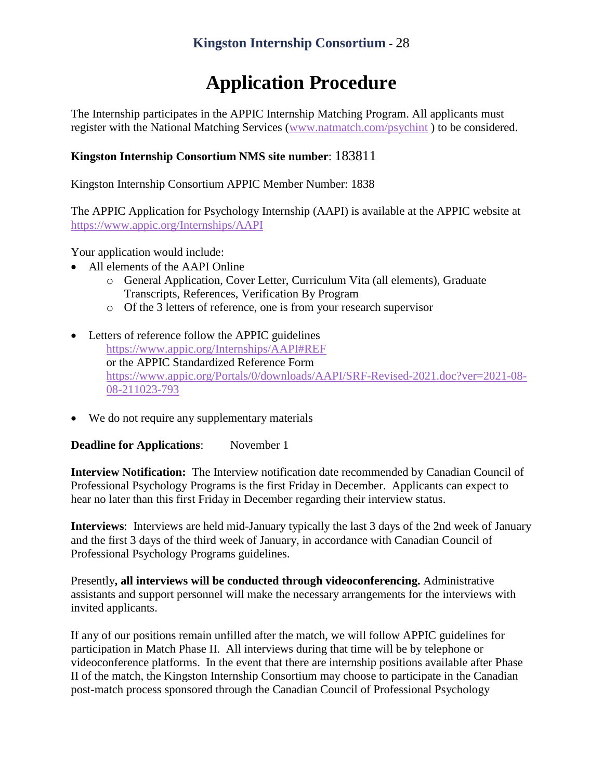# **Application Procedure**

<span id="page-30-0"></span>The Internship participates in the APPIC Internship Matching Program. All applicants must register with the National Matching Services [\(www.natmatch.com/psychint](http://www.natmatch.com/psychint) ) to be considered.

### **Kingston Internship Consortium NMS site number**: 183811

Kingston Internship Consortium APPIC Member Number: 1838

The APPIC Application for Psychology Internship (AAPI) is available at the APPIC website at <https://www.appic.org/Internships/AAPI>

Your application would include:

- All elements of the AAPI Online
	- o General Application, Cover Letter, Curriculum Vita (all elements), Graduate Transcripts, References, Verification By Program
	- o Of the 3 letters of reference, one is from your research supervisor
- Letters of reference follow the APPIC guidelines <https://www.appic.org/Internships/AAPI#REF> or the APPIC Standardized Reference Form https://www.appic.org/Portals/0/downloads/AAPI/SRF-Revised-2021.doc?ver=2021-08- 08-211023-793
- We do not require any supplementary materials

<span id="page-30-1"></span>**Deadline for Applications**: November 1

**Interview Notification:** The Interview notification date recommended by Canadian Council of Professional Psychology Programs is the first Friday in December. Applicants can expect to hear no later than this first Friday in December regarding their interview status.

**Interviews**: Interviews are held mid-January typically the last 3 days of the 2nd week of January and the first 3 days of the third week of January, in accordance with Canadian Council of Professional Psychology Programs guidelines.

Presently**, all interviews will be conducted through videoconferencing.** Administrative assistants and support personnel will make the necessary arrangements for the interviews with invited applicants.

If any of our positions remain unfilled after the match, we will follow APPIC guidelines for participation in Match Phase II. All interviews during that time will be by telephone or videoconference platforms. In the event that there are internship positions available after Phase II of the match, the Kingston Internship Consortium may choose to participate in the Canadian post-match process sponsored through the Canadian Council of Professional Psychology